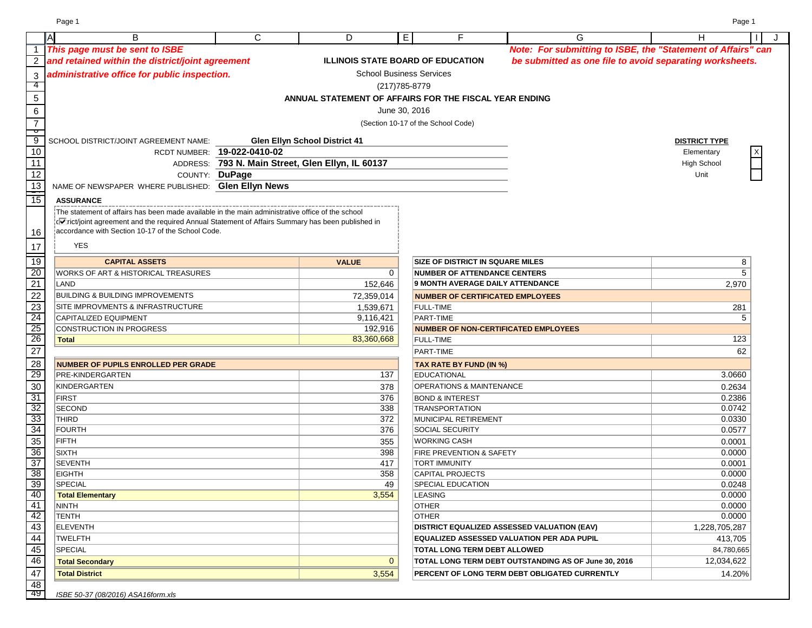| Note: For submitting to ISBE, the "Statement of Affairs" can<br>1 This page must be sent to ISBE<br>$\overline{2}$<br>and retained within the district/joint agreement<br><b>ILLINOIS STATE BOARD OF EDUCATION</b><br>be submitted as one file to avoid separating worksheets.<br>administrative office for public inspection.<br><b>School Business Services</b><br>3<br>4<br>(217) 785-8779<br>5<br>ANNUAL STATEMENT OF AFFAIRS FOR THE FISCAL YEAR ENDING<br>6<br>June 30, 2016<br>$\overline{7}$<br>(Section 10-17 of the School Code)<br>$\overline{\mathbf{c}}$<br>$\overline{9}$<br><b>Glen Ellyn School District 41</b><br>SCHOOL DISTRICT/JOINT AGREEMENT NAME:<br><b>DISTRICT TYPE</b><br>10<br>RCDT NUMBER: 19-022-0410-02<br>Elementary<br>11<br>ADDRESS: 793 N. Main Street, Glen Ellyn, IL 60137<br><b>High School</b><br>12<br>COUNTY: DuPage<br>Unit<br>$\frac{13}{15}$<br>NAME OF NEWSPAPER WHERE PUBLISHED: Glen Ellyn News<br><b>ASSURANCE</b><br>The statement of affairs has been made available in the main administrative office of the school<br>rict/joint agreement and the required Annual Statement of Affairs Summary has been published in<br>accordance with Section 10-17 of the School Code.<br>16<br><b>YES</b><br>17<br>19<br><b>SIZE OF DISTRICT IN SQUARE MILES</b><br><b>CAPITAL ASSETS</b><br><b>VALUE</b><br>8<br>20<br>$\mathbf 0$<br>5<br>WORKS OF ART & HISTORICAL TREASURES<br><b>NUMBER OF ATTENDANCE CENTERS</b><br>21<br>9 MONTH AVERAGE DAILY ATTENDANCE<br>LAND<br>152,646<br>2,970<br>$\overline{22}$<br><b>BUILDING &amp; BUILDING IMPROVEMENTS</b><br>72,359,014<br><b>NUMBER OF CERTIFICATED EMPLOYEES</b><br>23<br>1,539,671<br>SITE IMPROVMENTS & INFRASTRUCTURE<br><b>FULL-TIME</b><br>281<br>24<br>PART-TIME<br>CAPITALIZED EQUIPMENT<br>9,116,421<br>5<br>25<br>192,916<br>CONSTRUCTION IN PROGRESS<br><b>NUMBER OF NON-CERTIFICATED EMPLOYEES</b><br>26<br>83,360,668<br>123<br><b>FULL-TIME</b><br><b>Total</b><br>27<br>62<br>PART-TIME<br>$\overline{28}$<br><b>NUMBER OF PUPILS ENROLLED PER GRADE</b><br><b>TAX RATE BY FUND (IN %)</b><br>29<br>3.0660<br>PRE-KINDERGARTEN<br>137<br><b>EDUCATIONAL</b><br>30<br><b>KINDERGARTEN</b><br><b>OPERATIONS &amp; MAINTENANCE</b><br>378<br>0.2634<br>31<br>376<br>0.2386<br><b>FIRST</b><br><b>BOND &amp; INTEREST</b><br>$\frac{32}{33}$<br><b>SECOND</b><br>0.0742<br>338<br><b>TRANSPORTATION</b><br>372<br>0.0330<br><b>THIRD</b><br>MUNICIPAL RETIREMENT<br>34<br>376<br>0.0577<br><b>FOURTH</b><br><b>SOCIAL SECURITY</b><br>35<br>FIFTH<br><b>WORKING CASH</b><br>355<br>0.0001<br>$\frac{36}{37}$<br>0.0000<br>398<br><b>SIXTH</b><br>FIRE PREVENTION & SAFETY<br><b>SEVENTH</b><br>0.0001<br>417<br><b>TORT IMMUNITY</b><br>38<br>358<br><b>EIGHTH</b><br>0.0000<br><b>CAPITAL PROJECTS</b><br>39<br>49<br>0.0248<br>SPECIAL<br>SPECIAL EDUCATION<br>3,554<br>0.0000<br>40<br><b>Total Elementary</b><br>LEASING<br>41<br>0.0000<br>NINTH<br>OTHER<br>42<br>0.0000<br>TENTH<br>OTHER |    | A<br>B          | $\mathsf{C}$ | D | E<br>F | G | н<br>J        |
|-----------------------------------------------------------------------------------------------------------------------------------------------------------------------------------------------------------------------------------------------------------------------------------------------------------------------------------------------------------------------------------------------------------------------------------------------------------------------------------------------------------------------------------------------------------------------------------------------------------------------------------------------------------------------------------------------------------------------------------------------------------------------------------------------------------------------------------------------------------------------------------------------------------------------------------------------------------------------------------------------------------------------------------------------------------------------------------------------------------------------------------------------------------------------------------------------------------------------------------------------------------------------------------------------------------------------------------------------------------------------------------------------------------------------------------------------------------------------------------------------------------------------------------------------------------------------------------------------------------------------------------------------------------------------------------------------------------------------------------------------------------------------------------------------------------------------------------------------------------------------------------------------------------------------------------------------------------------------------------------------------------------------------------------------------------------------------------------------------------------------------------------------------------------------------------------------------------------------------------------------------------------------------------------------------------------------------------------------------------------------------------------------------------------------------------------------------------------------------------------------------------------------------------------------------------------------------------------------------------------------------------------------------------------------------------------------------------------------------------------------------------------------------------------------------------------------------------------------------------------------------------------------------------------------------------------------------------------------------------------------------------|----|-----------------|--------------|---|--------|---|---------------|
|                                                                                                                                                                                                                                                                                                                                                                                                                                                                                                                                                                                                                                                                                                                                                                                                                                                                                                                                                                                                                                                                                                                                                                                                                                                                                                                                                                                                                                                                                                                                                                                                                                                                                                                                                                                                                                                                                                                                                                                                                                                                                                                                                                                                                                                                                                                                                                                                                                                                                                                                                                                                                                                                                                                                                                                                                                                                                                                                                                                                           |    |                 |              |   |        |   |               |
|                                                                                                                                                                                                                                                                                                                                                                                                                                                                                                                                                                                                                                                                                                                                                                                                                                                                                                                                                                                                                                                                                                                                                                                                                                                                                                                                                                                                                                                                                                                                                                                                                                                                                                                                                                                                                                                                                                                                                                                                                                                                                                                                                                                                                                                                                                                                                                                                                                                                                                                                                                                                                                                                                                                                                                                                                                                                                                                                                                                                           |    |                 |              |   |        |   |               |
|                                                                                                                                                                                                                                                                                                                                                                                                                                                                                                                                                                                                                                                                                                                                                                                                                                                                                                                                                                                                                                                                                                                                                                                                                                                                                                                                                                                                                                                                                                                                                                                                                                                                                                                                                                                                                                                                                                                                                                                                                                                                                                                                                                                                                                                                                                                                                                                                                                                                                                                                                                                                                                                                                                                                                                                                                                                                                                                                                                                                           |    |                 |              |   |        |   |               |
|                                                                                                                                                                                                                                                                                                                                                                                                                                                                                                                                                                                                                                                                                                                                                                                                                                                                                                                                                                                                                                                                                                                                                                                                                                                                                                                                                                                                                                                                                                                                                                                                                                                                                                                                                                                                                                                                                                                                                                                                                                                                                                                                                                                                                                                                                                                                                                                                                                                                                                                                                                                                                                                                                                                                                                                                                                                                                                                                                                                                           |    |                 |              |   |        |   |               |
|                                                                                                                                                                                                                                                                                                                                                                                                                                                                                                                                                                                                                                                                                                                                                                                                                                                                                                                                                                                                                                                                                                                                                                                                                                                                                                                                                                                                                                                                                                                                                                                                                                                                                                                                                                                                                                                                                                                                                                                                                                                                                                                                                                                                                                                                                                                                                                                                                                                                                                                                                                                                                                                                                                                                                                                                                                                                                                                                                                                                           |    |                 |              |   |        |   |               |
|                                                                                                                                                                                                                                                                                                                                                                                                                                                                                                                                                                                                                                                                                                                                                                                                                                                                                                                                                                                                                                                                                                                                                                                                                                                                                                                                                                                                                                                                                                                                                                                                                                                                                                                                                                                                                                                                                                                                                                                                                                                                                                                                                                                                                                                                                                                                                                                                                                                                                                                                                                                                                                                                                                                                                                                                                                                                                                                                                                                                           |    |                 |              |   |        |   |               |
|                                                                                                                                                                                                                                                                                                                                                                                                                                                                                                                                                                                                                                                                                                                                                                                                                                                                                                                                                                                                                                                                                                                                                                                                                                                                                                                                                                                                                                                                                                                                                                                                                                                                                                                                                                                                                                                                                                                                                                                                                                                                                                                                                                                                                                                                                                                                                                                                                                                                                                                                                                                                                                                                                                                                                                                                                                                                                                                                                                                                           |    |                 |              |   |        |   |               |
|                                                                                                                                                                                                                                                                                                                                                                                                                                                                                                                                                                                                                                                                                                                                                                                                                                                                                                                                                                                                                                                                                                                                                                                                                                                                                                                                                                                                                                                                                                                                                                                                                                                                                                                                                                                                                                                                                                                                                                                                                                                                                                                                                                                                                                                                                                                                                                                                                                                                                                                                                                                                                                                                                                                                                                                                                                                                                                                                                                                                           |    |                 |              |   |        |   |               |
|                                                                                                                                                                                                                                                                                                                                                                                                                                                                                                                                                                                                                                                                                                                                                                                                                                                                                                                                                                                                                                                                                                                                                                                                                                                                                                                                                                                                                                                                                                                                                                                                                                                                                                                                                                                                                                                                                                                                                                                                                                                                                                                                                                                                                                                                                                                                                                                                                                                                                                                                                                                                                                                                                                                                                                                                                                                                                                                                                                                                           |    |                 |              |   |        |   |               |
|                                                                                                                                                                                                                                                                                                                                                                                                                                                                                                                                                                                                                                                                                                                                                                                                                                                                                                                                                                                                                                                                                                                                                                                                                                                                                                                                                                                                                                                                                                                                                                                                                                                                                                                                                                                                                                                                                                                                                                                                                                                                                                                                                                                                                                                                                                                                                                                                                                                                                                                                                                                                                                                                                                                                                                                                                                                                                                                                                                                                           |    |                 |              |   |        |   |               |
|                                                                                                                                                                                                                                                                                                                                                                                                                                                                                                                                                                                                                                                                                                                                                                                                                                                                                                                                                                                                                                                                                                                                                                                                                                                                                                                                                                                                                                                                                                                                                                                                                                                                                                                                                                                                                                                                                                                                                                                                                                                                                                                                                                                                                                                                                                                                                                                                                                                                                                                                                                                                                                                                                                                                                                                                                                                                                                                                                                                                           |    |                 |              |   |        |   |               |
|                                                                                                                                                                                                                                                                                                                                                                                                                                                                                                                                                                                                                                                                                                                                                                                                                                                                                                                                                                                                                                                                                                                                                                                                                                                                                                                                                                                                                                                                                                                                                                                                                                                                                                                                                                                                                                                                                                                                                                                                                                                                                                                                                                                                                                                                                                                                                                                                                                                                                                                                                                                                                                                                                                                                                                                                                                                                                                                                                                                                           |    |                 |              |   |        |   |               |
|                                                                                                                                                                                                                                                                                                                                                                                                                                                                                                                                                                                                                                                                                                                                                                                                                                                                                                                                                                                                                                                                                                                                                                                                                                                                                                                                                                                                                                                                                                                                                                                                                                                                                                                                                                                                                                                                                                                                                                                                                                                                                                                                                                                                                                                                                                                                                                                                                                                                                                                                                                                                                                                                                                                                                                                                                                                                                                                                                                                                           |    |                 |              |   |        |   |               |
|                                                                                                                                                                                                                                                                                                                                                                                                                                                                                                                                                                                                                                                                                                                                                                                                                                                                                                                                                                                                                                                                                                                                                                                                                                                                                                                                                                                                                                                                                                                                                                                                                                                                                                                                                                                                                                                                                                                                                                                                                                                                                                                                                                                                                                                                                                                                                                                                                                                                                                                                                                                                                                                                                                                                                                                                                                                                                                                                                                                                           |    |                 |              |   |        |   |               |
|                                                                                                                                                                                                                                                                                                                                                                                                                                                                                                                                                                                                                                                                                                                                                                                                                                                                                                                                                                                                                                                                                                                                                                                                                                                                                                                                                                                                                                                                                                                                                                                                                                                                                                                                                                                                                                                                                                                                                                                                                                                                                                                                                                                                                                                                                                                                                                                                                                                                                                                                                                                                                                                                                                                                                                                                                                                                                                                                                                                                           |    |                 |              |   |        |   |               |
|                                                                                                                                                                                                                                                                                                                                                                                                                                                                                                                                                                                                                                                                                                                                                                                                                                                                                                                                                                                                                                                                                                                                                                                                                                                                                                                                                                                                                                                                                                                                                                                                                                                                                                                                                                                                                                                                                                                                                                                                                                                                                                                                                                                                                                                                                                                                                                                                                                                                                                                                                                                                                                                                                                                                                                                                                                                                                                                                                                                                           |    |                 |              |   |        |   |               |
|                                                                                                                                                                                                                                                                                                                                                                                                                                                                                                                                                                                                                                                                                                                                                                                                                                                                                                                                                                                                                                                                                                                                                                                                                                                                                                                                                                                                                                                                                                                                                                                                                                                                                                                                                                                                                                                                                                                                                                                                                                                                                                                                                                                                                                                                                                                                                                                                                                                                                                                                                                                                                                                                                                                                                                                                                                                                                                                                                                                                           |    |                 |              |   |        |   |               |
|                                                                                                                                                                                                                                                                                                                                                                                                                                                                                                                                                                                                                                                                                                                                                                                                                                                                                                                                                                                                                                                                                                                                                                                                                                                                                                                                                                                                                                                                                                                                                                                                                                                                                                                                                                                                                                                                                                                                                                                                                                                                                                                                                                                                                                                                                                                                                                                                                                                                                                                                                                                                                                                                                                                                                                                                                                                                                                                                                                                                           |    |                 |              |   |        |   |               |
|                                                                                                                                                                                                                                                                                                                                                                                                                                                                                                                                                                                                                                                                                                                                                                                                                                                                                                                                                                                                                                                                                                                                                                                                                                                                                                                                                                                                                                                                                                                                                                                                                                                                                                                                                                                                                                                                                                                                                                                                                                                                                                                                                                                                                                                                                                                                                                                                                                                                                                                                                                                                                                                                                                                                                                                                                                                                                                                                                                                                           |    |                 |              |   |        |   |               |
|                                                                                                                                                                                                                                                                                                                                                                                                                                                                                                                                                                                                                                                                                                                                                                                                                                                                                                                                                                                                                                                                                                                                                                                                                                                                                                                                                                                                                                                                                                                                                                                                                                                                                                                                                                                                                                                                                                                                                                                                                                                                                                                                                                                                                                                                                                                                                                                                                                                                                                                                                                                                                                                                                                                                                                                                                                                                                                                                                                                                           |    |                 |              |   |        |   |               |
|                                                                                                                                                                                                                                                                                                                                                                                                                                                                                                                                                                                                                                                                                                                                                                                                                                                                                                                                                                                                                                                                                                                                                                                                                                                                                                                                                                                                                                                                                                                                                                                                                                                                                                                                                                                                                                                                                                                                                                                                                                                                                                                                                                                                                                                                                                                                                                                                                                                                                                                                                                                                                                                                                                                                                                                                                                                                                                                                                                                                           |    |                 |              |   |        |   |               |
|                                                                                                                                                                                                                                                                                                                                                                                                                                                                                                                                                                                                                                                                                                                                                                                                                                                                                                                                                                                                                                                                                                                                                                                                                                                                                                                                                                                                                                                                                                                                                                                                                                                                                                                                                                                                                                                                                                                                                                                                                                                                                                                                                                                                                                                                                                                                                                                                                                                                                                                                                                                                                                                                                                                                                                                                                                                                                                                                                                                                           |    |                 |              |   |        |   |               |
|                                                                                                                                                                                                                                                                                                                                                                                                                                                                                                                                                                                                                                                                                                                                                                                                                                                                                                                                                                                                                                                                                                                                                                                                                                                                                                                                                                                                                                                                                                                                                                                                                                                                                                                                                                                                                                                                                                                                                                                                                                                                                                                                                                                                                                                                                                                                                                                                                                                                                                                                                                                                                                                                                                                                                                                                                                                                                                                                                                                                           |    |                 |              |   |        |   |               |
|                                                                                                                                                                                                                                                                                                                                                                                                                                                                                                                                                                                                                                                                                                                                                                                                                                                                                                                                                                                                                                                                                                                                                                                                                                                                                                                                                                                                                                                                                                                                                                                                                                                                                                                                                                                                                                                                                                                                                                                                                                                                                                                                                                                                                                                                                                                                                                                                                                                                                                                                                                                                                                                                                                                                                                                                                                                                                                                                                                                                           |    |                 |              |   |        |   |               |
|                                                                                                                                                                                                                                                                                                                                                                                                                                                                                                                                                                                                                                                                                                                                                                                                                                                                                                                                                                                                                                                                                                                                                                                                                                                                                                                                                                                                                                                                                                                                                                                                                                                                                                                                                                                                                                                                                                                                                                                                                                                                                                                                                                                                                                                                                                                                                                                                                                                                                                                                                                                                                                                                                                                                                                                                                                                                                                                                                                                                           |    |                 |              |   |        |   |               |
|                                                                                                                                                                                                                                                                                                                                                                                                                                                                                                                                                                                                                                                                                                                                                                                                                                                                                                                                                                                                                                                                                                                                                                                                                                                                                                                                                                                                                                                                                                                                                                                                                                                                                                                                                                                                                                                                                                                                                                                                                                                                                                                                                                                                                                                                                                                                                                                                                                                                                                                                                                                                                                                                                                                                                                                                                                                                                                                                                                                                           |    |                 |              |   |        |   |               |
|                                                                                                                                                                                                                                                                                                                                                                                                                                                                                                                                                                                                                                                                                                                                                                                                                                                                                                                                                                                                                                                                                                                                                                                                                                                                                                                                                                                                                                                                                                                                                                                                                                                                                                                                                                                                                                                                                                                                                                                                                                                                                                                                                                                                                                                                                                                                                                                                                                                                                                                                                                                                                                                                                                                                                                                                                                                                                                                                                                                                           |    |                 |              |   |        |   |               |
|                                                                                                                                                                                                                                                                                                                                                                                                                                                                                                                                                                                                                                                                                                                                                                                                                                                                                                                                                                                                                                                                                                                                                                                                                                                                                                                                                                                                                                                                                                                                                                                                                                                                                                                                                                                                                                                                                                                                                                                                                                                                                                                                                                                                                                                                                                                                                                                                                                                                                                                                                                                                                                                                                                                                                                                                                                                                                                                                                                                                           |    |                 |              |   |        |   |               |
|                                                                                                                                                                                                                                                                                                                                                                                                                                                                                                                                                                                                                                                                                                                                                                                                                                                                                                                                                                                                                                                                                                                                                                                                                                                                                                                                                                                                                                                                                                                                                                                                                                                                                                                                                                                                                                                                                                                                                                                                                                                                                                                                                                                                                                                                                                                                                                                                                                                                                                                                                                                                                                                                                                                                                                                                                                                                                                                                                                                                           |    |                 |              |   |        |   |               |
|                                                                                                                                                                                                                                                                                                                                                                                                                                                                                                                                                                                                                                                                                                                                                                                                                                                                                                                                                                                                                                                                                                                                                                                                                                                                                                                                                                                                                                                                                                                                                                                                                                                                                                                                                                                                                                                                                                                                                                                                                                                                                                                                                                                                                                                                                                                                                                                                                                                                                                                                                                                                                                                                                                                                                                                                                                                                                                                                                                                                           |    |                 |              |   |        |   |               |
|                                                                                                                                                                                                                                                                                                                                                                                                                                                                                                                                                                                                                                                                                                                                                                                                                                                                                                                                                                                                                                                                                                                                                                                                                                                                                                                                                                                                                                                                                                                                                                                                                                                                                                                                                                                                                                                                                                                                                                                                                                                                                                                                                                                                                                                                                                                                                                                                                                                                                                                                                                                                                                                                                                                                                                                                                                                                                                                                                                                                           |    |                 |              |   |        |   |               |
|                                                                                                                                                                                                                                                                                                                                                                                                                                                                                                                                                                                                                                                                                                                                                                                                                                                                                                                                                                                                                                                                                                                                                                                                                                                                                                                                                                                                                                                                                                                                                                                                                                                                                                                                                                                                                                                                                                                                                                                                                                                                                                                                                                                                                                                                                                                                                                                                                                                                                                                                                                                                                                                                                                                                                                                                                                                                                                                                                                                                           |    |                 |              |   |        |   |               |
|                                                                                                                                                                                                                                                                                                                                                                                                                                                                                                                                                                                                                                                                                                                                                                                                                                                                                                                                                                                                                                                                                                                                                                                                                                                                                                                                                                                                                                                                                                                                                                                                                                                                                                                                                                                                                                                                                                                                                                                                                                                                                                                                                                                                                                                                                                                                                                                                                                                                                                                                                                                                                                                                                                                                                                                                                                                                                                                                                                                                           |    |                 |              |   |        |   |               |
|                                                                                                                                                                                                                                                                                                                                                                                                                                                                                                                                                                                                                                                                                                                                                                                                                                                                                                                                                                                                                                                                                                                                                                                                                                                                                                                                                                                                                                                                                                                                                                                                                                                                                                                                                                                                                                                                                                                                                                                                                                                                                                                                                                                                                                                                                                                                                                                                                                                                                                                                                                                                                                                                                                                                                                                                                                                                                                                                                                                                           |    |                 |              |   |        |   |               |
|                                                                                                                                                                                                                                                                                                                                                                                                                                                                                                                                                                                                                                                                                                                                                                                                                                                                                                                                                                                                                                                                                                                                                                                                                                                                                                                                                                                                                                                                                                                                                                                                                                                                                                                                                                                                                                                                                                                                                                                                                                                                                                                                                                                                                                                                                                                                                                                                                                                                                                                                                                                                                                                                                                                                                                                                                                                                                                                                                                                                           |    |                 |              |   |        |   |               |
|                                                                                                                                                                                                                                                                                                                                                                                                                                                                                                                                                                                                                                                                                                                                                                                                                                                                                                                                                                                                                                                                                                                                                                                                                                                                                                                                                                                                                                                                                                                                                                                                                                                                                                                                                                                                                                                                                                                                                                                                                                                                                                                                                                                                                                                                                                                                                                                                                                                                                                                                                                                                                                                                                                                                                                                                                                                                                                                                                                                                           |    |                 |              |   |        |   |               |
|                                                                                                                                                                                                                                                                                                                                                                                                                                                                                                                                                                                                                                                                                                                                                                                                                                                                                                                                                                                                                                                                                                                                                                                                                                                                                                                                                                                                                                                                                                                                                                                                                                                                                                                                                                                                                                                                                                                                                                                                                                                                                                                                                                                                                                                                                                                                                                                                                                                                                                                                                                                                                                                                                                                                                                                                                                                                                                                                                                                                           |    |                 |              |   |        |   |               |
|                                                                                                                                                                                                                                                                                                                                                                                                                                                                                                                                                                                                                                                                                                                                                                                                                                                                                                                                                                                                                                                                                                                                                                                                                                                                                                                                                                                                                                                                                                                                                                                                                                                                                                                                                                                                                                                                                                                                                                                                                                                                                                                                                                                                                                                                                                                                                                                                                                                                                                                                                                                                                                                                                                                                                                                                                                                                                                                                                                                                           |    |                 |              |   |        |   |               |
|                                                                                                                                                                                                                                                                                                                                                                                                                                                                                                                                                                                                                                                                                                                                                                                                                                                                                                                                                                                                                                                                                                                                                                                                                                                                                                                                                                                                                                                                                                                                                                                                                                                                                                                                                                                                                                                                                                                                                                                                                                                                                                                                                                                                                                                                                                                                                                                                                                                                                                                                                                                                                                                                                                                                                                                                                                                                                                                                                                                                           |    |                 |              |   |        |   |               |
|                                                                                                                                                                                                                                                                                                                                                                                                                                                                                                                                                                                                                                                                                                                                                                                                                                                                                                                                                                                                                                                                                                                                                                                                                                                                                                                                                                                                                                                                                                                                                                                                                                                                                                                                                                                                                                                                                                                                                                                                                                                                                                                                                                                                                                                                                                                                                                                                                                                                                                                                                                                                                                                                                                                                                                                                                                                                                                                                                                                                           |    |                 |              |   |        |   |               |
|                                                                                                                                                                                                                                                                                                                                                                                                                                                                                                                                                                                                                                                                                                                                                                                                                                                                                                                                                                                                                                                                                                                                                                                                                                                                                                                                                                                                                                                                                                                                                                                                                                                                                                                                                                                                                                                                                                                                                                                                                                                                                                                                                                                                                                                                                                                                                                                                                                                                                                                                                                                                                                                                                                                                                                                                                                                                                                                                                                                                           |    |                 |              |   |        |   |               |
|                                                                                                                                                                                                                                                                                                                                                                                                                                                                                                                                                                                                                                                                                                                                                                                                                                                                                                                                                                                                                                                                                                                                                                                                                                                                                                                                                                                                                                                                                                                                                                                                                                                                                                                                                                                                                                                                                                                                                                                                                                                                                                                                                                                                                                                                                                                                                                                                                                                                                                                                                                                                                                                                                                                                                                                                                                                                                                                                                                                                           |    |                 |              |   |        |   |               |
| DISTRICT EQUALIZED ASSESSED VALUATION (EAV)                                                                                                                                                                                                                                                                                                                                                                                                                                                                                                                                                                                                                                                                                                                                                                                                                                                                                                                                                                                                                                                                                                                                                                                                                                                                                                                                                                                                                                                                                                                                                                                                                                                                                                                                                                                                                                                                                                                                                                                                                                                                                                                                                                                                                                                                                                                                                                                                                                                                                                                                                                                                                                                                                                                                                                                                                                                                                                                                                               | 43 | <b>ELEVENTH</b> |              |   |        |   | 1,228,705,287 |
| 44<br>413,705<br>TWELFTH<br>EQUALIZED ASSESSED VALUATION PER ADA PUPIL                                                                                                                                                                                                                                                                                                                                                                                                                                                                                                                                                                                                                                                                                                                                                                                                                                                                                                                                                                                                                                                                                                                                                                                                                                                                                                                                                                                                                                                                                                                                                                                                                                                                                                                                                                                                                                                                                                                                                                                                                                                                                                                                                                                                                                                                                                                                                                                                                                                                                                                                                                                                                                                                                                                                                                                                                                                                                                                                    |    |                 |              |   |        |   |               |
| 45<br><b>SPECIAL</b><br>TOTAL LONG TERM DEBT ALLOWED<br>84,780,665                                                                                                                                                                                                                                                                                                                                                                                                                                                                                                                                                                                                                                                                                                                                                                                                                                                                                                                                                                                                                                                                                                                                                                                                                                                                                                                                                                                                                                                                                                                                                                                                                                                                                                                                                                                                                                                                                                                                                                                                                                                                                                                                                                                                                                                                                                                                                                                                                                                                                                                                                                                                                                                                                                                                                                                                                                                                                                                                        |    |                 |              |   |        |   |               |
| 46<br>TOTAL LONG TERM DEBT OUTSTANDING AS OF June 30, 2016<br>12,034,622<br>$\mathbf{0}$<br><b>Total Secondary</b>                                                                                                                                                                                                                                                                                                                                                                                                                                                                                                                                                                                                                                                                                                                                                                                                                                                                                                                                                                                                                                                                                                                                                                                                                                                                                                                                                                                                                                                                                                                                                                                                                                                                                                                                                                                                                                                                                                                                                                                                                                                                                                                                                                                                                                                                                                                                                                                                                                                                                                                                                                                                                                                                                                                                                                                                                                                                                        |    |                 |              |   |        |   |               |
| 47<br>3,554<br>PERCENT OF LONG TERM DEBT OBLIGATED CURRENTLY<br>14.20%<br><b>Total District</b>                                                                                                                                                                                                                                                                                                                                                                                                                                                                                                                                                                                                                                                                                                                                                                                                                                                                                                                                                                                                                                                                                                                                                                                                                                                                                                                                                                                                                                                                                                                                                                                                                                                                                                                                                                                                                                                                                                                                                                                                                                                                                                                                                                                                                                                                                                                                                                                                                                                                                                                                                                                                                                                                                                                                                                                                                                                                                                           |    |                 |              |   |        |   |               |
| 48<br>-49<br>ISBE 50-37 (08/2016) ASA16form.xls                                                                                                                                                                                                                                                                                                                                                                                                                                                                                                                                                                                                                                                                                                                                                                                                                                                                                                                                                                                                                                                                                                                                                                                                                                                                                                                                                                                                                                                                                                                                                                                                                                                                                                                                                                                                                                                                                                                                                                                                                                                                                                                                                                                                                                                                                                                                                                                                                                                                                                                                                                                                                                                                                                                                                                                                                                                                                                                                                           |    |                 |              |   |        |   |               |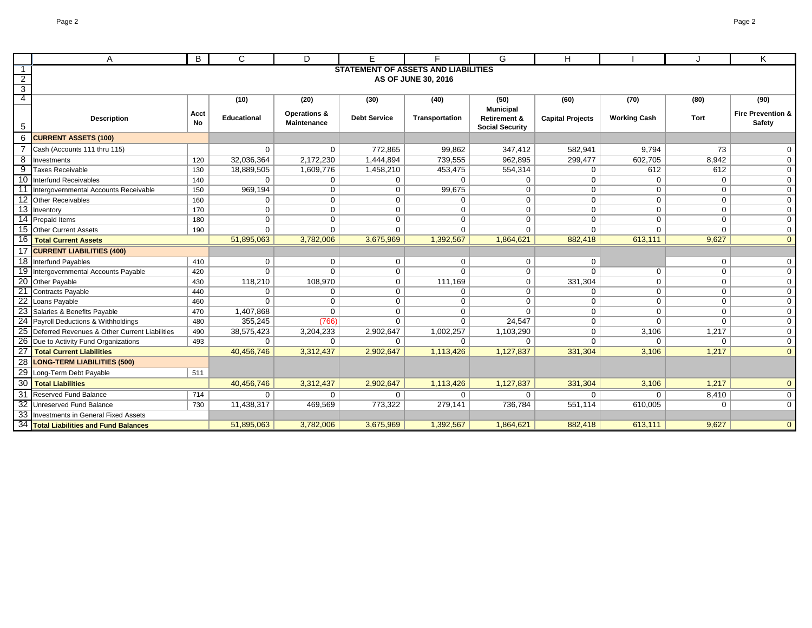|                 | A                                                | B          | C                  | D                           | F                   | Е                                          | G                       | н                       |                     | J              | K                            |
|-----------------|--------------------------------------------------|------------|--------------------|-----------------------------|---------------------|--------------------------------------------|-------------------------|-------------------------|---------------------|----------------|------------------------------|
|                 |                                                  |            |                    |                             |                     | <b>STATEMENT OF ASSETS AND LIABILITIES</b> |                         |                         |                     |                |                              |
| $\overline{2}$  |                                                  |            |                    |                             |                     | AS OF JUNE 30, 2016                        |                         |                         |                     |                |                              |
| $\overline{3}$  |                                                  |            |                    |                             |                     |                                            |                         |                         |                     |                |                              |
| $\overline{4}$  |                                                  |            | (10)               | (20)                        | (30)                | (40)                                       | (50)                    | (60)                    | (70)                | (80)           | (90)                         |
|                 |                                                  |            |                    |                             |                     |                                            | <b>Municipal</b>        |                         |                     |                | <b>Fire Prevention &amp;</b> |
|                 | <b>Description</b>                               | Acct<br>No | <b>Educational</b> | Operations &<br>Maintenance | <b>Debt Service</b> | Transportation                             | <b>Retirement &amp;</b> | <b>Capital Projects</b> | <b>Working Cash</b> | Tort           | Safety                       |
| 5               |                                                  |            |                    |                             |                     |                                            | <b>Social Security</b>  |                         |                     |                |                              |
|                 | <b>CURRENT ASSETS (100)</b>                      |            |                    |                             |                     |                                            |                         |                         |                     |                |                              |
|                 | Cash (Accounts 111 thru 115)                     |            | 0                  | 0                           | 772,865             | 99,862                                     | 347,412                 | 582,941                 | 9,794               | 73             | $\mathbf 0$                  |
| 8               | Investments                                      | 120        | 32,036,364         | 2,172,230                   | 1,444,894           | 739,555                                    | 962,895                 | 299,477                 | 602,705             | 8,942          | $\mathbf 0$                  |
| 9               | <b>Taxes Receivable</b>                          | 130        | 18,889,505         | 1,609,776                   | 1,458,210           | 453,475                                    | 554,314                 | $\mathbf 0$             | 612                 | 612            | $\mathbf 0$                  |
|                 | 10 Interfund Receivables                         | 140        | 0                  | $\mathbf 0$                 | 0                   | $\Omega$                                   | $\mathbf{0}$            | $\mathbf 0$             | $\Omega$            | $\overline{0}$ | $\mathbf{0}$                 |
| 11              | Intergovernmental Accounts Receivable            | 150        | 969,194            | $\mathbf 0$                 | $\mathbf 0$         | 99,675                                     | $\mathbf{0}$            | $\mathbf 0$             | $\mathbf 0$         | $\mathbf{0}$   | $\mathbf{0}$                 |
| 12              | <b>Other Receivables</b>                         | 160        | 0                  | $\mathbf 0$                 | $\mathbf 0$         | $\mathbf 0$                                | $\mathbf{0}$            | $\mathbf 0$             | $\Omega$            | $\mathbf 0$    | $\mathbf 0$                  |
|                 | 13 Inventory                                     | 170        | $\mathbf 0$        | $\mathbf 0$                 | $\mathbf 0$         | $\overline{0}$                             | $\mathbf 0$             | $\mathbf 0$             | $\Omega$            | $\mathbf{0}$   | $\mathbf 0$                  |
| 14              | <b>Prepaid Items</b>                             | 180        | 0                  | $\mathbf 0$                 | $\mathbf 0$         | $\mathbf 0$                                | $\mathbf 0$             | $\mathbf 0$             | $\Omega$            | $\overline{0}$ | $\mathbf 0$                  |
|                 | 15 Other Current Assets                          | 190        | 0                  | 0                           | $\mathbf 0$         | $\mathbf{0}$                               | $\mathbf{0}$            | $\mathbf 0$             | 0                   | 0              | $\mathbf 0$                  |
| 16              | Total Current Assets                             |            | 51,895,063         | 3,782,006                   | 3,675,969           | 1,392,567                                  | 1,864,621               | 882,418                 | 613,111             | 9,627          | $\overline{0}$               |
|                 | 17 CURRENT LIABILITIES (400)                     |            |                    |                             |                     |                                            |                         |                         |                     |                |                              |
|                 | 18 Interfund Payables                            | 410        | 0                  | $\mathbf{0}$                | 0                   | $\mathbf{0}$                               | 0                       | 0                       |                     | $\mathbf{0}$   | $\mathbf{0}$                 |
| 19              | Intergovernmental Accounts Payable               | 420        | $\Omega$           | $\Omega$                    | $\mathbf 0$         | $\Omega$                                   | $\mathbf 0$             | $\Omega$                | $\Omega$            | $\mathbf{0}$   | $\mathbf 0$                  |
| 20              | Other Payable                                    | 430        | 118,210            | 108,970                     | $\mathbf 0$         | 111,169                                    | $\mathbf 0$             | 331,304                 | $\Omega$            | $\mathbf{0}$   | $\mathbf 0$                  |
| 21              | Contracts Payable                                | 440        | 0                  | $\mathbf{0}$                | $\mathbf 0$         | $\mathbf{0}$                               | $\mathbf 0$             | $\mathbf 0$             | $\mathbf 0$         | $\mathbf{0}$   | $\mathbf 0$                  |
| $\overline{22}$ | Loans Payable                                    | 460        | $\Omega$           | 0                           | $\mathbf 0$         | $\mathbf{0}$                               | $\mathbf 0$             | $\mathbf 0$             | $\mathbf 0$         | $\overline{0}$ | $\mathbf 0$                  |
|                 | Salaries & Benefits Payable                      | 470        | 1,407,868          | 0                           | $\mathbf 0$         | $\mathbf 0$                                | $\mathbf 0$             | $\mathbf 0$             | $\mathbf 0$         | $\overline{0}$ | $\overline{0}$               |
|                 | 24 Payroll Deductions & Withholdings             | 480        | 355,245            | (766)                       | $\mathbf 0$         | $\Omega$                                   | 24,547                  | $\mathbf 0$             | $\Omega$            | $\Omega$       | $\mathbf 0$                  |
|                 | 25 Deferred Revenues & Other Current Liabilities | 490        | 38,575,423         | 3,204,233                   | 2,902,647           | 1,002,257                                  | 1,103,290               | $\mathbf 0$             | 3,106               | 1,217          | $\overline{0}$               |
|                 | 26 Due to Activity Fund Organizations            | 493        | 0                  | $\mathbf{0}$                | 0                   | 0                                          | 0                       | $\mathbf 0$             | $\mathbf{0}$        | $\overline{0}$ | $\mathbf 0$                  |
| 27              | Total Current Liabilities                        |            | 40,456,746         | 3,312,437                   | 2,902,647           | 1,113,426                                  | 1,127,837               | 331,304                 | 3,106               | 1,217          | $\overline{0}$               |
| 28              | <b>LONG-TERM LIABILITIES (500)</b>               |            |                    |                             |                     |                                            |                         |                         |                     |                |                              |
| 29              | Long-Term Debt Payable                           | 511        |                    |                             |                     |                                            |                         |                         |                     |                |                              |
| 30              | <b>Total Liabilities</b>                         |            | 40,456,746         | 3,312,437                   | 2,902,647           | 1,113,426                                  | 1,127,837               | 331,304                 | 3,106               | 1,217          | $\overline{0}$               |
| 31              | <b>Reserved Fund Balance</b>                     | 714        | 0                  | 0                           | 0                   | $\Omega$                                   | $\mathbf 0$             | $\mathbf 0$             | $\Omega$            | 8,410          | $\mathbf 0$                  |
|                 | 32 Unreserved Fund Balance                       | 730        | 11,438,317         | 469,569                     | 773,322             | 279,141                                    | 736,784                 | 551,114                 | 610,005             | $\Omega$       | $\mathbf 0$                  |
|                 | 33 Investments in General Fixed Assets           |            |                    |                             |                     |                                            |                         |                         |                     |                |                              |
|                 | 34 Total Liabilities and Fund Balances           |            | 51,895,063         | 3,782,006                   | 3,675,969           | 1,392,567                                  | 1,864,621               | 882,418                 | 613,111             | 9,627          | $\overline{0}$               |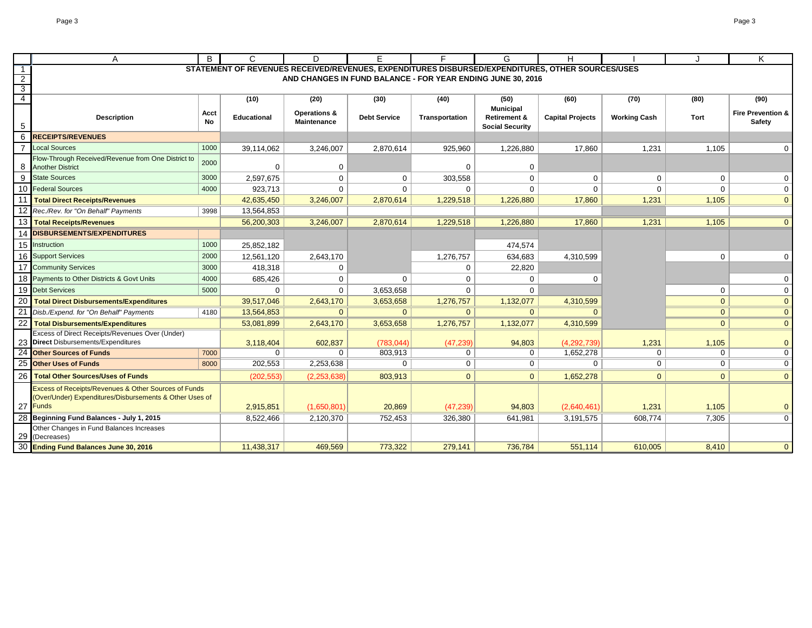|                                           | Α                                                                                                               | B          | C                                                                                                | D                                      | E.                    | F                                                           | G                                      | H                          |                       |                | Κ                                      |
|-------------------------------------------|-----------------------------------------------------------------------------------------------------------------|------------|--------------------------------------------------------------------------------------------------|----------------------------------------|-----------------------|-------------------------------------------------------------|----------------------------------------|----------------------------|-----------------------|----------------|----------------------------------------|
| $\overline{1}$                            |                                                                                                                 |            | STATEMENT OF REVENUES RECEIVED/REVENUES, EXPENDITURES DISBURSED/EXPENDITURES, OTHER SOURCES/USES |                                        |                       |                                                             |                                        |                            |                       |                |                                        |
| $\overline{2}$                            |                                                                                                                 |            |                                                                                                  |                                        |                       | AND CHANGES IN FUND BALANCE - FOR YEAR ENDING JUNE 30, 2016 |                                        |                            |                       |                |                                        |
| $\overline{\mathbf{3}}$<br>$\overline{4}$ |                                                                                                                 |            |                                                                                                  |                                        |                       |                                                             |                                        |                            |                       |                |                                        |
|                                           |                                                                                                                 |            | (10)                                                                                             | (20)                                   | (30)                  | (40)                                                        | (50)<br><b>Municipal</b>               | (60)                       | (70)                  | (80)           | (90)                                   |
| 5                                         | <b>Description</b>                                                                                              | Acct<br>No | <b>Educational</b>                                                                               | <b>Operations &amp;</b><br>Maintenance | <b>Debt Service</b>   | Transportation                                              | Retirement &<br><b>Social Security</b> | <b>Capital Projects</b>    | <b>Working Cash</b>   | Tort           | <b>Fire Prevention &amp;</b><br>Safety |
| 6                                         | <b>RECEIPTS/REVENUES</b>                                                                                        |            |                                                                                                  |                                        |                       |                                                             |                                        |                            |                       |                |                                        |
|                                           | <b>Local Sources</b>                                                                                            | 1000       | 39,114,062                                                                                       | 3,246,007                              | 2,870,614             | 925,960                                                     | 1,226,880                              | 17,860                     | 1,231                 | 1,105          | 0                                      |
| 8                                         | Flow-Through Received/Revenue from One District to<br><b>Another District</b>                                   | 2000       | $\Omega$                                                                                         | 0                                      |                       | $\Omega$                                                    | 0                                      |                            |                       |                |                                        |
| 9                                         | <b>State Sources</b>                                                                                            | 3000       | 2,597,675                                                                                        | $\mathbf 0$                            | $\mathbf 0$           | 303,558                                                     | $\Omega$                               | $\Omega$                   | $\Omega$              | $\mathbf 0$    | $\mathbf 0$                            |
| 10                                        | <b>Federal Sources</b>                                                                                          | 4000       | 923,713                                                                                          | $\Omega$                               | $\Omega$              | $\Omega$                                                    | $\Omega$                               | $\Omega$                   | $\Omega$              | $\Omega$       | $\mathbf 0$                            |
|                                           | <b>Total Direct Receipts/Revenues</b>                                                                           |            | 42,635,450                                                                                       | 3,246,007                              | 2,870,614             | 1,229,518                                                   | 1,226,880                              | 17,860                     | 1,231                 | 1,105          | $\overline{0}$                         |
|                                           | Rec./Rev. for "On Behalf" Payments                                                                              | 3998       | 13,564,853                                                                                       |                                        |                       |                                                             |                                        |                            |                       |                |                                        |
| 13                                        | <b>Total Receipts/Revenues</b>                                                                                  |            | 56,200,303                                                                                       | 3,246,007                              | 2,870,614             | 1,229,518                                                   | 1,226,880                              | 17,860                     | 1,231                 | 1,105          | $\overline{0}$                         |
| 14                                        | <b>DISBURSEMENTS/EXPENDITURES</b>                                                                               |            |                                                                                                  |                                        |                       |                                                             |                                        |                            |                       |                |                                        |
|                                           | 15 Instruction                                                                                                  | 1000       | 25,852,182                                                                                       |                                        |                       |                                                             | 474,574                                |                            |                       |                |                                        |
| 16                                        | <b>Support Services</b>                                                                                         | 2000       | 12,561,120                                                                                       | 2,643,170                              |                       | 1,276,757                                                   | 634,683                                | 4,310,599                  |                       | $\mathbf 0$    | $\mathbf 0$                            |
| 17                                        | <b>Community Services</b>                                                                                       | 3000       | 418,318                                                                                          | $\mathbf 0$                            |                       | 0                                                           | 22,820                                 |                            |                       |                |                                        |
| 18                                        | Payments to Other Districts & Govt Units                                                                        | 4000       | 685,426                                                                                          | $\mathbf 0$                            | $\Omega$              | $\Omega$                                                    | $\Omega$                               | <sup>0</sup>               |                       |                | 0                                      |
| 19                                        | <b>Debt Services</b>                                                                                            | 5000       | $\Omega$                                                                                         | $\mathbf 0$                            | 3,653,658             | $\Omega$                                                    | $\Omega$                               |                            |                       | $\mathbf 0$    | $\mathbf 0$                            |
| 20                                        | Total Direct Disbursements/Expenditures                                                                         |            | 39,517,046                                                                                       | 2,643,170                              | 3,653,658             | 1,276,757                                                   | 1,132,077                              | 4,310,599                  |                       | $\overline{0}$ | $\mathbf{0}$                           |
|                                           | Disb./Expend. for "On Behalf" Payments                                                                          | 4180       | 13,564,853                                                                                       | 0 <sup>1</sup>                         | $\overline{0}$        | $\overline{0}$                                              | $\mathbf{0}$                           |                            |                       | $\overline{0}$ | $\overline{0}$                         |
| 22                                        | <b>Total Disbursements/Expenditures</b>                                                                         |            | 53,081,899                                                                                       | 2,643,170                              | 3,653,658             | 1,276,757                                                   | 1,132,077                              | 4,310,599                  |                       | $\overline{0}$ | $\overline{0}$                         |
|                                           | Excess of Direct Receipts/Revenues Over (Under)                                                                 |            |                                                                                                  |                                        |                       |                                                             |                                        |                            |                       |                |                                        |
| 24                                        | 23 Direct Disbursements/Expenditures<br><b>Other Sources of Funds</b>                                           | 7000       | 3,118,404<br>0                                                                                   | 602,837<br>0 <sup>1</sup>              | (783, 044)<br>803,913 | (47, 239)<br>$\mathbf 0$                                    | 94,803<br>$\mathbf{0}$                 | (4, 292, 739)<br>1,652,278 | 1,231<br>$\mathbf{0}$ | 1,105<br>0     | $\mathbf{0}$<br>$\mathbf 0$            |
| 25                                        | <b>Other Uses of Funds</b>                                                                                      | 8000       | 202,553                                                                                          | 2,253,638                              | $\mathbf 0$           | 0                                                           | 0                                      | $\Omega$                   | 0                     | $\overline{0}$ | $\overline{0}$                         |
| 26                                        | <b>Total Other Sources/Uses of Funds</b>                                                                        |            |                                                                                                  |                                        |                       | $\overline{0}$                                              | $\overline{0}$                         |                            | $\overline{0}$        | $\overline{0}$ | $\overline{0}$                         |
|                                           |                                                                                                                 |            | (202, 553)                                                                                       | (2,253,638)                            | 803,913               |                                                             |                                        | 1,652,278                  |                       |                |                                        |
|                                           | Excess of Receipts/Revenues & Other Sources of Funds<br>(Over/Under) Expenditures/Disbursements & Other Uses of |            |                                                                                                  |                                        |                       |                                                             |                                        |                            |                       |                |                                        |
|                                           | 27 Funds                                                                                                        |            | 2,915,851                                                                                        | (1,650,801)                            | 20,869                | (47, 239)                                                   | 94,803                                 | (2,640,461)                | 1,231                 | 1,105          | $\mathbf{0}$                           |
|                                           | Beginning Fund Balances - July 1, 2015                                                                          |            | 8,522,466                                                                                        | 2,120,370                              | 752,453               | 326,380                                                     | 641,981                                | 3,191,575                  | 608,774               | 7,305          | $\mathbf 0$                            |
| 29                                        | Other Changes in Fund Balances Increases<br>(Decreases)                                                         |            |                                                                                                  |                                        |                       |                                                             |                                        |                            |                       |                |                                        |
| 30                                        | <b>Ending Fund Balances June 30, 2016</b>                                                                       |            | 11,438,317                                                                                       | 469,569                                | 773,322               | 279,141                                                     | 736,784                                | 551,114                    | 610,005               | 8.410          | $\overline{0}$                         |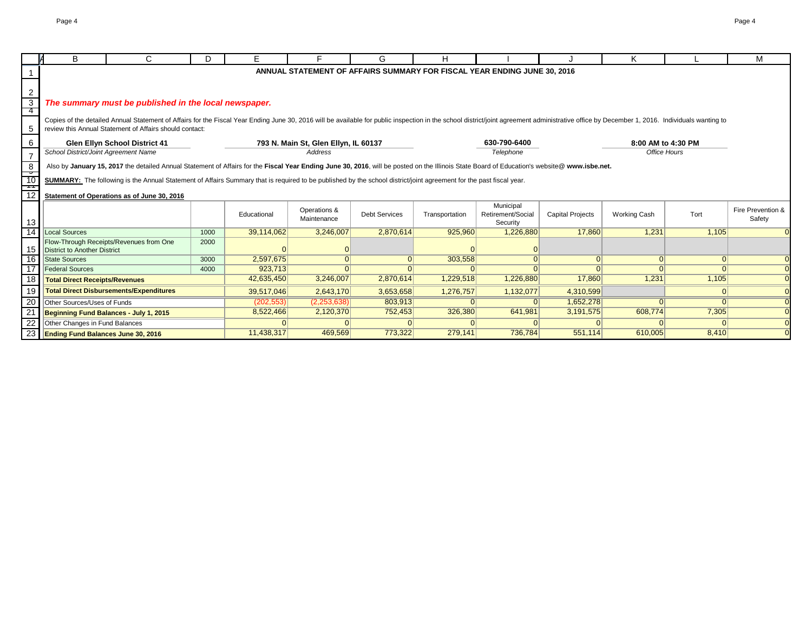|          | B                                       | C.                                                                                                                                                                                                                             | D.   | E.          |                                                        | G                    | H              |                                                                          |                         | Κ                   |       | м                 |
|----------|-----------------------------------------|--------------------------------------------------------------------------------------------------------------------------------------------------------------------------------------------------------------------------------|------|-------------|--------------------------------------------------------|----------------------|----------------|--------------------------------------------------------------------------|-------------------------|---------------------|-------|-------------------|
|          |                                         |                                                                                                                                                                                                                                |      |             |                                                        |                      |                | ANNUAL STATEMENT OF AFFAIRS SUMMARY FOR FISCAL YEAR ENDING JUNE 30, 2016 |                         |                     |       |                   |
|          |                                         |                                                                                                                                                                                                                                |      |             |                                                        |                      |                |                                                                          |                         |                     |       |                   |
|          |                                         |                                                                                                                                                                                                                                |      |             |                                                        |                      |                |                                                                          |                         |                     |       |                   |
|          |                                         |                                                                                                                                                                                                                                |      |             |                                                        |                      |                |                                                                          |                         |                     |       |                   |
|          |                                         | The summary must be published in the local newspaper.                                                                                                                                                                          |      |             |                                                        |                      |                |                                                                          |                         |                     |       |                   |
|          |                                         | Copies of the detailed Annual Statement of Affairs for the Fiscal Year Ending June 30, 2016 will be available for public inspection in the school district/joint agreement administrative office by December 1, 2016. Individu |      |             |                                                        |                      |                |                                                                          |                         |                     |       |                   |
| -5       |                                         | review this Annual Statement of Affairs should contact:                                                                                                                                                                        |      |             |                                                        |                      |                |                                                                          |                         |                     |       |                   |
|          |                                         |                                                                                                                                                                                                                                |      |             |                                                        |                      |                |                                                                          |                         |                     |       |                   |
| -6       |                                         | <b>Glen Ellyn School District 41</b>                                                                                                                                                                                           |      |             | 793 N. Main St, Glen Ellyn, IL 60137<br><b>Address</b> |                      |                | 630-790-6400                                                             |                         | 8:00 AM to 4:30 PM  |       |                   |
|          | School District/Joint Agreement Name    |                                                                                                                                                                                                                                |      |             |                                                        |                      |                | Telephone                                                                |                         | Office Hours        |       |                   |
|          |                                         | Also by January 15, 2017 the detailed Annual Statement of Affairs for the Fiscal Year Ending June 30, 2016, will be posted on the Illinois State Board of Education's website@ www.isbe.net.                                   |      |             |                                                        |                      |                |                                                                          |                         |                     |       |                   |
| $-10$    |                                         | SUMMARY: The following is the Annual Statement of Affairs Summary that is required to be published by the school district/joint agreement for the past fiscal year.                                                            |      |             |                                                        |                      |                |                                                                          |                         |                     |       |                   |
|          |                                         |                                                                                                                                                                                                                                |      |             |                                                        |                      |                |                                                                          |                         |                     |       |                   |
|          |                                         | Statement of Operations as of June 30, 2016                                                                                                                                                                                    |      |             |                                                        |                      |                |                                                                          |                         |                     |       |                   |
|          |                                         |                                                                                                                                                                                                                                |      |             | Operations &                                           |                      |                | Municipal                                                                |                         |                     |       | Fire Prevention & |
|          |                                         |                                                                                                                                                                                                                                |      | Educational | Maintenance                                            | <b>Debt Services</b> | Transportation | Retirement/Social                                                        | <b>Capital Projects</b> | <b>Working Cash</b> | Tort  | Safety            |
| 13<br>14 | Local Sources                           |                                                                                                                                                                                                                                | 1000 | 39,114,062  | 3.246.007                                              | 2.870.614            | 925.960        | Security<br>1,226,880                                                    | 17,860                  | 1,231               | 1.105 |                   |
|          |                                         | Flow-Through Receipts/Revenues from One                                                                                                                                                                                        | 2000 |             |                                                        |                      |                |                                                                          |                         |                     |       |                   |
| 15       | District to Another District            |                                                                                                                                                                                                                                |      |             |                                                        |                      |                |                                                                          |                         |                     |       |                   |
| 16       | <b>State Sources</b>                    |                                                                                                                                                                                                                                | 3000 | 2,597,675   |                                                        |                      | 303,558        |                                                                          |                         | $\Omega$            |       |                   |
|          | <b>Federal Sources</b>                  |                                                                                                                                                                                                                                | 4000 | 923,713     | $\Omega$                                               |                      |                |                                                                          |                         |                     |       |                   |
|          | <b>Total Direct Receipts/Revenues</b>   |                                                                                                                                                                                                                                |      | 42,635,450  | 3,246,007                                              | 2,870,614            | 1,229,518      | 1,226,880                                                                | 17,860                  | 1,231               | 1,105 |                   |
|          |                                         | <b>Total Direct Disbursements/Expenditures</b>                                                                                                                                                                                 |      | 39,517,046  | 2,643,170                                              | 3,653,658            | 1,276,757      | 1,132,077                                                                | 4,310,599               |                     |       |                   |
| 20       | Other Sources/Uses of Funds             |                                                                                                                                                                                                                                |      | (202, 553)  | (2,253,638)                                            | 803,913              |                |                                                                          | 1,652,278               |                     |       |                   |
| 21       | Beginning Fund Balances - July 1, 2015  |                                                                                                                                                                                                                                |      | 8,522,466   | 2,120,370                                              | 752,453              | 326,380        | 641,981                                                                  | 3,191,575               | 608,774             | 7,305 |                   |
| 22       | Other Changes in Fund Balances          |                                                                                                                                                                                                                                |      |             |                                                        |                      |                |                                                                          |                         |                     |       |                   |
|          | 23   Ending Fund Balances June 30, 2016 |                                                                                                                                                                                                                                |      | 11,438,317  | 469,569                                                | 773,322              | 279,141        | 736,784                                                                  | 551,114                 | 610,005             | 8,410 |                   |
|          |                                         |                                                                                                                                                                                                                                |      |             |                                                        |                      |                |                                                                          |                         |                     |       |                   |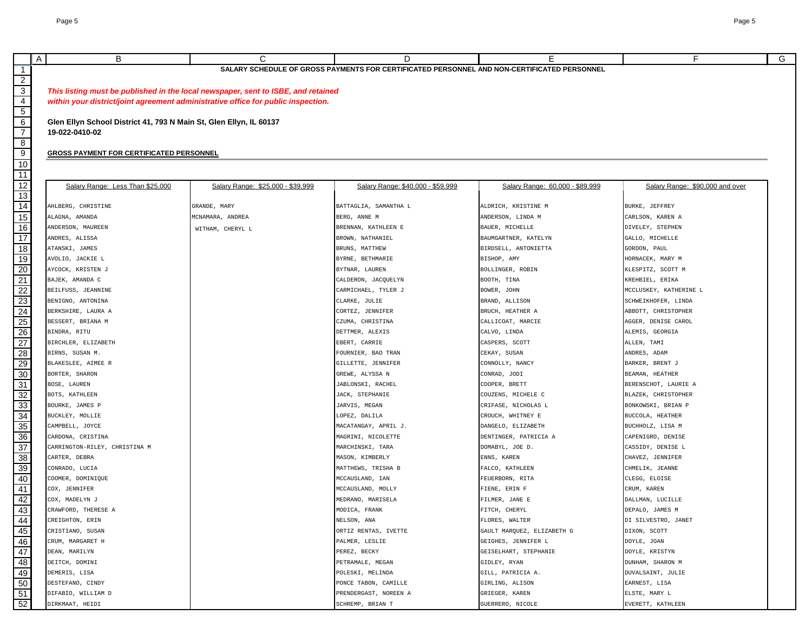|                       | A<br>B                                                                            | C                                                                                 | D                                                                                           | Е                                 | F.                              | G |  |  |  |
|-----------------------|-----------------------------------------------------------------------------------|-----------------------------------------------------------------------------------|---------------------------------------------------------------------------------------------|-----------------------------------|---------------------------------|---|--|--|--|
| $\mathbf{1}$          |                                                                                   |                                                                                   | SALARY SCHEDULE OF GROSS PAYMENTS FOR CERTIFICATED PERSONNEL AND NON-CERTIFICATED PERSONNEL |                                   |                                 |   |  |  |  |
|                       |                                                                                   |                                                                                   |                                                                                             |                                   |                                 |   |  |  |  |
| $\frac{2}{3}$         |                                                                                   | This listing must be published in the local newspaper, sent to ISBE, and retained |                                                                                             |                                   |                                 |   |  |  |  |
| $\overline{4}$        | within your district/joint agreement administrative office for public inspection. |                                                                                   |                                                                                             |                                   |                                 |   |  |  |  |
| $\overline{5}$        |                                                                                   |                                                                                   |                                                                                             |                                   |                                 |   |  |  |  |
| 6                     | Glen Ellyn School District 41, 793 N Main St, Glen Ellyn, IL 60137                |                                                                                   |                                                                                             |                                   |                                 |   |  |  |  |
| $\overline{7}$        | 19-022-0410-02                                                                    |                                                                                   |                                                                                             |                                   |                                 |   |  |  |  |
| $\overline{8}$        |                                                                                   |                                                                                   |                                                                                             |                                   |                                 |   |  |  |  |
| $\overline{9}$        | <b>GROSS PAYMENT FOR CERTIFICATED PERSONNEL</b>                                   |                                                                                   |                                                                                             |                                   |                                 |   |  |  |  |
| 10                    |                                                                                   |                                                                                   |                                                                                             |                                   |                                 |   |  |  |  |
| 11                    |                                                                                   |                                                                                   |                                                                                             |                                   |                                 |   |  |  |  |
| 12                    | Salary Range: Less Than \$25,000                                                  | Salary Range: \$25,000 - \$39,999                                                 | Salary Range: \$40,000 - \$59,999                                                           | Salary Range: 60,000 - \$89,999   | Salary Range: \$90,000 and over |   |  |  |  |
| 13                    |                                                                                   |                                                                                   |                                                                                             |                                   |                                 |   |  |  |  |
| $\overline{14}$       | AHLBERG, CHRISTINE                                                                | GRANDE, MARY                                                                      | BATTAGLIA, SAMANTHA L                                                                       | ALDRICH, KRISTINE M               | BURKE, JEFFREY                  |   |  |  |  |
| 15                    | ALAGNA, AMANDA                                                                    | MCNAMARA, ANDREA                                                                  | BERG, ANNE M                                                                                | ANDERSON, LINDA M                 | CARLSON, KAREN A                |   |  |  |  |
| 16                    | ANDERSON, MAUREEN                                                                 | WITHAM, CHERYL L                                                                  | BRENNAN, KATHLEEN E                                                                         | BAUER, MICHELLE                   | DIVELEY, STEPHEN                |   |  |  |  |
| $\overline{17}$       | ANDRES, ALISSA                                                                    |                                                                                   | BROWN, NATHANIEL                                                                            | BAUMGARTNER, KATELYN              | GALLO, MICHELLE                 |   |  |  |  |
| $\overline{18}$       | ATANSKI, JAMES                                                                    |                                                                                   | BRUNS, MATTHEW                                                                              | BIRDSELL, ANTONIETTA              | GORDON, PAUL                    |   |  |  |  |
| 19                    | AVOLIO, JACKIE L                                                                  |                                                                                   | BYRNE, BETHMARIE                                                                            | BISHOP, AMY                       | HORNACEK, MARY M                |   |  |  |  |
| $\overline{20}$       | AYCOCK, KRISTEN J                                                                 |                                                                                   | BYTNAR, LAUREN                                                                              | BOLLINGER, ROBIN                  | KLESPITZ, SCOTT M               |   |  |  |  |
| 21                    | BAJEK, AMANDA C                                                                   |                                                                                   | CALDERON, JACQUELYN                                                                         | BOOTH, TINA                       | KREHBIEL, ERIKA                 |   |  |  |  |
| $\overline{22}$       | BEILFUSS, JEANNINE                                                                |                                                                                   | CARMICHAEL, TYLER J                                                                         | BOWER, JOHN                       | MCCLUSKEY, KATHERINE L          |   |  |  |  |
| 23                    | BENIGNO, ANTONINA                                                                 |                                                                                   | CLARKE, JULIE                                                                               | BRAND, ALLISON                    | SCHWEIKHOFER, LINDA             |   |  |  |  |
| 24                    | BERKSHIRE, LAURA A                                                                |                                                                                   | CORTEZ, JENNIFER                                                                            | BRUCH, HEATHER A                  | ABBOTT, CHRISTOPHER             |   |  |  |  |
| 25                    | BESSERT, BRIANA M<br>BINDRA, RITU                                                 |                                                                                   | CZUMA, CHRISTINA                                                                            | CALLICOAT, MARCIE                 | AGGER, DENISE CAROL             |   |  |  |  |
| $\overline{26}$<br>27 | BIRCHLER, ELIZABETH                                                               |                                                                                   | DETTMER, ALEXIS<br>EBERT, CARRIE                                                            | CALVO, LINDA<br>CASPERS, SCOTT    | ALEMIS, GEORGIA<br>ALLEN, TAMI  |   |  |  |  |
| 28                    | BIRNS, SUSAN M.                                                                   |                                                                                   | FOURNIER, BAO TRAN                                                                          | CEKAY, SUSAN                      | ANDRES, ADAM                    |   |  |  |  |
| 29                    | BLAKESLEE, AIMEE R                                                                |                                                                                   | GILLETTE, JENNIFER                                                                          | CONNOLLY, NANCY                   | BARKER, BRENT J                 |   |  |  |  |
| 30                    | BORTER, SHARON                                                                    |                                                                                   | GREWE, ALYSSA N                                                                             | CONRAD, JODI                      | BEAMAN, HEATHER                 |   |  |  |  |
| 31                    | BOSE, LAUREN                                                                      |                                                                                   | JABLONSKI, RACHEL                                                                           | COOPER, BRETT                     | BERENSCHOT, LAURIE A            |   |  |  |  |
| 32                    | BOTS, KATHLEEN                                                                    |                                                                                   | JACK, STEPHANIE                                                                             | COUZENS, MICHELE C                | BLAZEK, CHRISTOPHER             |   |  |  |  |
| 33                    | BOURKE, JAMES P                                                                   |                                                                                   | JARVIS, MEGAN                                                                               | CRIFASE, NICHOLAS L               | BONKOWSKI, BRIAN P              |   |  |  |  |
| 34                    | BUCKLEY, MOLLIE                                                                   |                                                                                   | LOPEZ, DALILA                                                                               | CROUCH, WHITNEY E                 | BUCCOLA, HEATHER                |   |  |  |  |
| 35                    | CAMPBELL, JOYCE                                                                   |                                                                                   | MACATANGAY, APRIL J.                                                                        | DANGELO, ELIZABETH                | BUCHHOLZ, LISA M                |   |  |  |  |
| $\overline{36}$       | CARDONA, CRISTINA                                                                 |                                                                                   | MAGRINI, NICOLETTE                                                                          | DENTINGER, PATRICIA A             | CAPENIGRO, DENISE               |   |  |  |  |
| 37                    | CARRINGTON-RILEY, CHRISTINA M                                                     |                                                                                   | MARCHINSKI, TARA                                                                            | DOMABYL, JOE D.                   | CASSIDY, DENISE L               |   |  |  |  |
| $\overline{38}$       | CARTER, DEBRA                                                                     |                                                                                   | MASON, KIMBERLY                                                                             | ENNS, KAREN                       | CHAVEZ, JENNIFER                |   |  |  |  |
| 39                    | CONRADO, LUCIA                                                                    |                                                                                   | MATTHEWS, TRISHA B                                                                          | FALCO, KATHLEEN                   | CHMELIK, JEANNE                 |   |  |  |  |
| 40                    | COOMER, DOMINIQUE                                                                 |                                                                                   | MCCAUSLAND, IAN                                                                             | FEUERBORN, RITA                   | CLEGG, ELOISE                   |   |  |  |  |
| 41                    | COX, JENNIFER                                                                     |                                                                                   | MCCAUSLAND, MOLLY                                                                           | FIENE, ERIN F                     | CRUM, KAREN                     |   |  |  |  |
| 42                    | COX, MADELYN J                                                                    |                                                                                   | MEDRANO, MARISELA                                                                           | FILMER, JANE E                    | DALLMAN, LUCILLE                |   |  |  |  |
| 43                    | CRAWFORD, THERESE A                                                               |                                                                                   | MODICA, FRANK                                                                               | FITCH, CHERYL                     | DEPALO, JAMES M                 |   |  |  |  |
| 44                    | CREIGHTON, ERIN                                                                   |                                                                                   | NELSON, ANA                                                                                 | FLORES, WALTER                    | DI SILVESTRO, JANET             |   |  |  |  |
| 45                    | CRISTIANO, SUSAN                                                                  |                                                                                   | ORTIZ RENTAS, IVETTE                                                                        | GAULT MARQUEZ, ELIZABETH G        | DIXON, SCOTT                    |   |  |  |  |
| 46                    | CRUM, MARGARET H                                                                  |                                                                                   | PALMER, LESLIE                                                                              | GEIGHES, JENNIFER L               | DOYLE, JOAN                     |   |  |  |  |
| $\frac{47}{48}$       | DEAN, MARILYN                                                                     |                                                                                   | PEREZ, BECKY                                                                                | GEISELHART, STEPHANIE             | DOYLE, KRISTYN                  |   |  |  |  |
| 49                    | DEITCH, DOMINI<br>DEMERIS, LISA                                                   |                                                                                   | PETRAMALE, MEGAN<br>POLESKI, MELINDA                                                        | GIDLEY, RYAN                      | DUNHAM, SHARON M                |   |  |  |  |
| 50                    |                                                                                   |                                                                                   |                                                                                             | GILL, PATRICIA A.                 | DUVALSAINT, JULIE               |   |  |  |  |
| 51                    | DESTEFANO, CINDY<br>DIFABIO, WILLIAM D                                            |                                                                                   | PONCE TABON, CAMILLE<br>PRENDERGAST, NOREEN A                                               | GIRLING, ALISON<br>GRIEGER, KAREN | EARNEST, LISA<br>ELSTE, MARY L  |   |  |  |  |
| 52                    | DIRKMAAT, HEIDI                                                                   |                                                                                   | SCHREMP, BRIAN T                                                                            | GUERRERO, NICOLE                  | EVERETT, KATHLEEN               |   |  |  |  |
|                       |                                                                                   |                                                                                   |                                                                                             |                                   |                                 |   |  |  |  |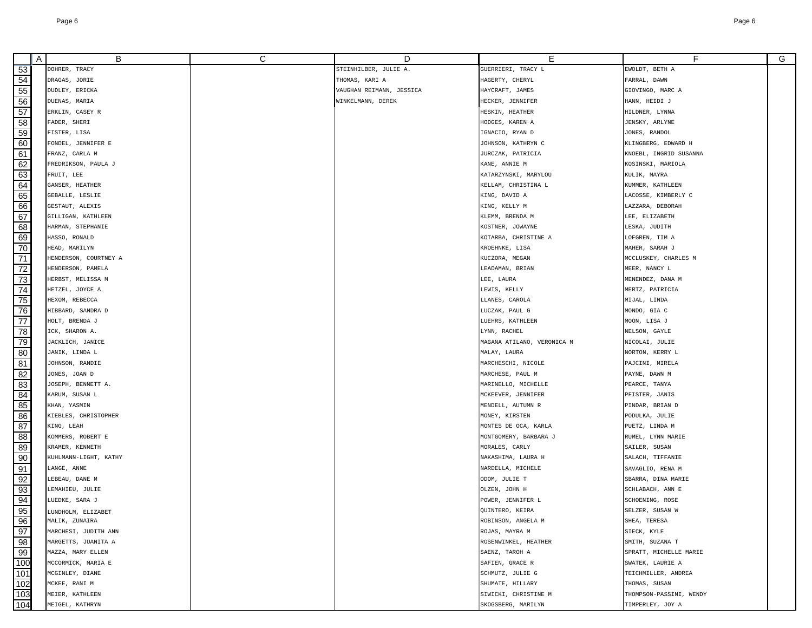| A   | B                     | C | D                        | Е                          | F.                      | G |
|-----|-----------------------|---|--------------------------|----------------------------|-------------------------|---|
| 53  | DOHRER, TRACY         |   | STEINHILBER, JULIE A.    | GUERRIERI, TRACY L         | EWOLDT, BETH A          |   |
| 54  | DRAGAS, JORIE         |   | THOMAS, KARI A           | HAGERTY, CHERYL            | FARRAL, DAWN            |   |
| 55  | DUDLEY, ERICKA        |   | VAUGHAN REIMANN, JESSICA | HAYCRAFT, JAMES            | GIOVINGO, MARC A        |   |
| 56  | DUENAS, MARIA         |   | WINKELMANN, DEREK        | HECKER, JENNIFER           | HANN, HEIDI J           |   |
| 57  | ERKLIN, CASEY R       |   |                          | HESKIN, HEATHER            | HILDNER, LYNNA          |   |
| 58  | FADER, SHERI          |   |                          | HODGES, KAREN A            | JENSKY, ARLYNE          |   |
| 59  | FISTER, LISA          |   |                          | IGNACIO, RYAN D            | JONES, RANDOL           |   |
| 60  | FONDEL, JENNIFER E    |   |                          | JOHNSON, KATHRYN C         | KLINGBERG, EDWARD H     |   |
| 61  | FRANZ, CARLA M        |   |                          | JURCZAK, PATRICIA          | KNOEBL, INGRID SUSANNA  |   |
| 62  | FREDRIKSON, PAULA J   |   |                          | KANE, ANNIE M              | KOSINSKI, MARIOLA       |   |
| 63  | FRUIT, LEE            |   |                          | KATARZYNSKI, MARYLOU       | KULIK, MAYRA            |   |
| 64  | GANSER, HEATHER       |   |                          | KELLAM, CHRISTINA L        | KUMMER, KATHLEEN        |   |
| 65  | GEBALLE, LESLIE       |   |                          | KING, DAVID A              | LACOSSE, KIMBERLY C     |   |
| 66  | GESTAUT, ALEXIS       |   |                          | KING, KELLY M              | LAZZARA, DEBORAH        |   |
| 67  | GILLIGAN, KATHLEEN    |   |                          | KLEMM, BRENDA M            | LEE, ELIZABETH          |   |
| 68  | HARMAN, STEPHANIE     |   |                          | KOSTNER, JOWAYNE           | LESKA, JUDITH           |   |
| 69  | HASSO, RONALD         |   |                          | KOTARBA, CHRISTINE A       | LOFGREN, TIM A          |   |
| 70  | HEAD, MARILYN         |   |                          | KROEHNKE, LISA             | MAHER, SARAH J          |   |
| 71  | HENDERSON, COURTNEY A |   |                          | KUCZORA, MEGAN             | MCCLUSKEY, CHARLES M    |   |
| 72  | HENDERSON, PAMELA     |   |                          | LEADAMAN, BRIAN            | MEER, NANCY L           |   |
| 73  | HERBST, MELISSA M     |   |                          | LEE, LAURA                 | MENENDEZ, DANA M        |   |
| 74  | HETZEL, JOYCE A       |   |                          | LEWIS, KELLY               | MERTZ, PATRICIA         |   |
| 75  | HEXOM, REBECCA        |   |                          | LLANES, CAROLA             | MIJAL, LINDA            |   |
| 76  | HIBBARD, SANDRA D     |   |                          | LUCZAK, PAUL G             | MONDO, GIA C            |   |
| 77  | HOLT, BRENDA J        |   |                          | LUEHRS, KATHLEEN           | MOON, LISA J            |   |
| 78  | ICK, SHARON A.        |   |                          | LYNN, RACHEL               | NELSON, GAYLE           |   |
| 79  | JACKLICH, JANICE      |   |                          | MAGANA ATILANO, VERONICA M | NICOLAI, JULIE          |   |
| 80  | JANIK, LINDA L        |   |                          | MALAY, LAURA               | NORTON, KERRY L         |   |
| 81  | JOHNSON, RANDIE       |   |                          | MARCHESCHI, NICOLE         | PAJCINI, MIRELA         |   |
| 82  | JONES, JOAN D         |   |                          | MARCHESE, PAUL M           | PAYNE, DAWN M           |   |
| 83  | JOSEPH, BENNETT A.    |   |                          | MARINELLO, MICHELLE        | PEARCE, TANYA           |   |
| 84  | KARUM, SUSAN L        |   |                          | MCKEEVER, JENNIFER         | PFISTER, JANIS          |   |
| 85  | KHAN, YASMIN          |   |                          | MENDELL, AUTUMN R          | PINDAR, BRIAN D         |   |
| 86  | KIEBLES, CHRISTOPHER  |   |                          | MONEY, KIRSTEN             | PODULKA, JULIE          |   |
| 87  | KING, LEAH            |   |                          | MONTES DE OCA, KARLA       | PUETZ, LINDA M          |   |
| 88  | KOMMERS, ROBERT E     |   |                          | MONTGOMERY, BARBARA J      | RUMEL, LYNN MARIE       |   |
| 89  | KRAMER, KENNETH       |   |                          | MORALES, CARLY             | SAILER, SUSAN           |   |
| 90  | KUHLMANN-LIGHT, KATHY |   |                          | NAKASHIMA, LAURA H         | SALACH, TIFFANIE        |   |
| 91  | LANGE, ANNE           |   |                          | NARDELLA, MICHELE          | SAVAGLIO, RENA M        |   |
| 92  | LEBEAU, DANE M        |   |                          | ODOM, JULIE T              | SBARRA, DINA MARIE      |   |
| 93  | LEMAHIEU, JULIE       |   |                          | OLZEN, JOHN H              | SCHLABACH, ANN E        |   |
| 94  | LUEDKE, SARA J        |   |                          | POWER, JENNIFER L          | SCHOENING, ROSE         |   |
| 95  | LUNDHOLM, ELIZABET    |   |                          | QUINTERO, KEIRA            | SELZER, SUSAN W         |   |
| 96  | MALIK, ZUNAIRA        |   |                          | ROBINSON, ANGELA M         | SHEA, TERESA            |   |
| 97  | MARCHESI, JUDITH ANN  |   |                          | ROJAS, MAYRA M             | SIECK, KYLE             |   |
| 98  | MARGETTS, JUANITA A   |   |                          | ROSENWINKEL, HEATHER       | SMITH, SUZANA T         |   |
| 99  | MAZZA, MARY ELLEN     |   |                          | SAENZ, TAROH A             | SPRATT, MICHELLE MARIE  |   |
| 100 | MCCORMICK, MARIA E    |   |                          | SAFIEN, GRACE R            | SWATEK, LAURIE A        |   |
| 101 | MCGINLEY, DIANE       |   |                          | SCHMUTZ, JULIE G           | TEICHMILLER, ANDREA     |   |
| 102 | MCKEE, RANI M         |   |                          | SHUMATE, HILLARY           | THOMAS, SUSAN           |   |
| 103 | MEIER, KATHLEEN       |   |                          | SIWICKI, CHRISTINE M       | THOMPSON-PASSINI, WENDY |   |
| 104 | MEIGEL, KATHRYN       |   |                          | SKOGSBERG, MARILYN         | TIMPERLEY, JOY A        |   |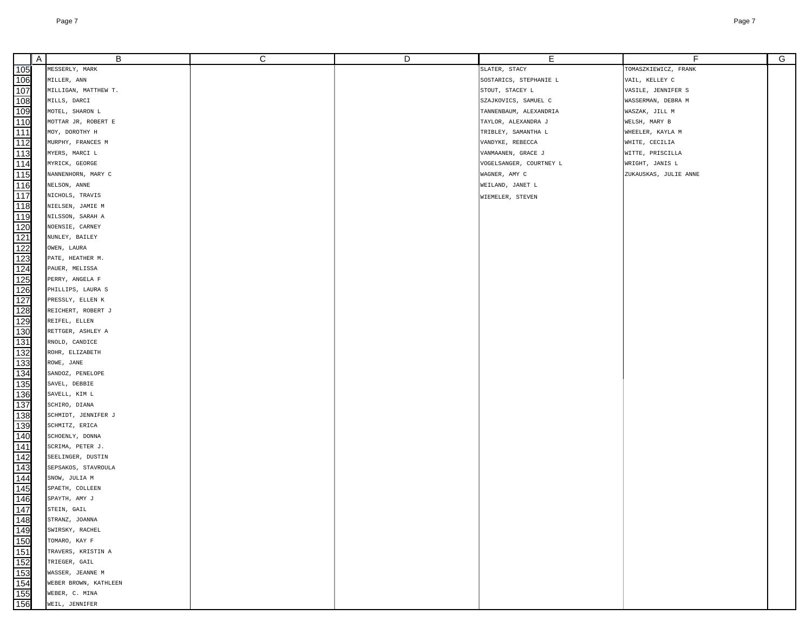|                                                             | A | B                                         | С | D | Е                       | F                     | G |
|-------------------------------------------------------------|---|-------------------------------------------|---|---|-------------------------|-----------------------|---|
| 105                                                         |   | MESSERLY, MARK                            |   |   | SLATER, STACY           | TOMASZKIEWICZ, FRANK  |   |
| 106                                                         |   | MILLER, ANN                               |   |   | SOSTARICS, STEPHANIE L  | VAIL, KELLEY C        |   |
| 107                                                         |   | MILLIGAN, MATTHEW T.                      |   |   | STOUT, STACEY L         | VASILE, JENNIFER S    |   |
| 108                                                         |   | MILLS, DARCI                              |   |   | SZAJKOVICS, SAMUEL C    | WASSERMAN, DEBRA M    |   |
| 109                                                         |   | MOTEL, SHARON L                           |   |   | TANNENBAUM, ALEXANDRIA  | WASZAK, JILL M        |   |
| 110                                                         |   | MOTTAR JR, ROBERT E                       |   |   | TAYLOR, ALEXANDRA J     | WELSH, MARY B         |   |
| 111                                                         |   | MOY, DOROTHY H                            |   |   | TRIBLEY, SAMANTHA L     | WHEELER, KAYLA M      |   |
| 112                                                         |   | MURPHY, FRANCES M                         |   |   | VANDYKE, REBECCA        | WHITE, CECILIA        |   |
| 113                                                         |   | MYERS, MARCI L                            |   |   | VANMAANEN, GRACE J      | WITTE, PRISCILLA      |   |
| 114                                                         |   | MYRICK, GEORGE                            |   |   | VOGELSANGER, COURTNEY L | WRIGHT, JANIS L       |   |
| 115                                                         |   | NANNENHORN, MARY C                        |   |   | WAGNER, AMY C           | ZUKAUSKAS, JULIE ANNE |   |
| 116                                                         |   | NELSON, ANNE                              |   |   | WEILAND, JANET L        |                       |   |
| 117                                                         |   | NICHOLS, TRAVIS                           |   |   | WIEMELER, STEVEN        |                       |   |
| 118                                                         |   | NIELSEN, JAMIE M                          |   |   |                         |                       |   |
| 119                                                         |   | NILSSON, SARAH A                          |   |   |                         |                       |   |
| 120                                                         |   | NOENSIE, CARNEY                           |   |   |                         |                       |   |
| 121                                                         |   | NUNLEY, BAILEY                            |   |   |                         |                       |   |
| 122                                                         |   | OWEN, LAURA                               |   |   |                         |                       |   |
| 123                                                         |   | PATE, HEATHER M.                          |   |   |                         |                       |   |
| 124                                                         |   | PAUER, MELISSA                            |   |   |                         |                       |   |
| 125                                                         |   | PERRY, ANGELA F                           |   |   |                         |                       |   |
| $\frac{1}{126}$                                             |   | PHILLIPS, LAURA S                         |   |   |                         |                       |   |
| 127                                                         |   | PRESSLY, ELLEN K                          |   |   |                         |                       |   |
| 128                                                         |   | REICHERT, ROBERT J                        |   |   |                         |                       |   |
| 129                                                         |   | REIFEL, ELLEN                             |   |   |                         |                       |   |
| 130                                                         |   | RETTGER, ASHLEY A                         |   |   |                         |                       |   |
| 131                                                         |   | RNOLD, CANDICE                            |   |   |                         |                       |   |
| 132                                                         |   | ROHR, ELIZABETH                           |   |   |                         |                       |   |
| 133                                                         |   | ROWE, JANE                                |   |   |                         |                       |   |
| 134                                                         |   | SANDOZ, PENELOPE                          |   |   |                         |                       |   |
| 135<br>136                                                  |   | SAVEL, DEBBIE                             |   |   |                         |                       |   |
|                                                             |   | SAVELL, KIM L                             |   |   |                         |                       |   |
| 137                                                         |   | SCHIRO, DIANA                             |   |   |                         |                       |   |
| 138                                                         |   | SCHMIDT, JENNIFER J                       |   |   |                         |                       |   |
| 139                                                         |   | SCHMITZ, ERICA                            |   |   |                         |                       |   |
| 140                                                         |   | SCHOENLY, DONNA                           |   |   |                         |                       |   |
| 141                                                         |   | SCRIMA, PETER J.                          |   |   |                         |                       |   |
| 142                                                         |   | SEELINGER, DUSTIN                         |   |   |                         |                       |   |
| 143                                                         |   | SEPSAKOS, STAVROULA                       |   |   |                         |                       |   |
| 144                                                         |   | SNOW, JULIA M                             |   |   |                         |                       |   |
| 145                                                         |   | SPAETH, COLLEEN                           |   |   |                         |                       |   |
| 146                                                         |   | SPAYTH, AMY J                             |   |   |                         |                       |   |
| 147                                                         |   | STEIN, GAIL                               |   |   |                         |                       |   |
|                                                             |   | STRANZ, JOANNA                            |   |   |                         |                       |   |
|                                                             |   | SWIRSKY, RACHEL                           |   |   |                         |                       |   |
|                                                             |   | TOMARO, KAY F                             |   |   |                         |                       |   |
|                                                             |   | TRAVERS, KRISTIN A                        |   |   |                         |                       |   |
|                                                             |   | TRIEGER, GAIL                             |   |   |                         |                       |   |
|                                                             |   | WASSER, JEANNE M<br>WEBER BROWN, KATHLEEN |   |   |                         |                       |   |
|                                                             |   | WEBER, C. MINA                            |   |   |                         |                       |   |
| 148<br>149<br>150<br>151<br>152<br>153<br>154<br>155<br>155 |   | WEIL, JENNIFER                            |   |   |                         |                       |   |
|                                                             |   |                                           |   |   |                         |                       |   |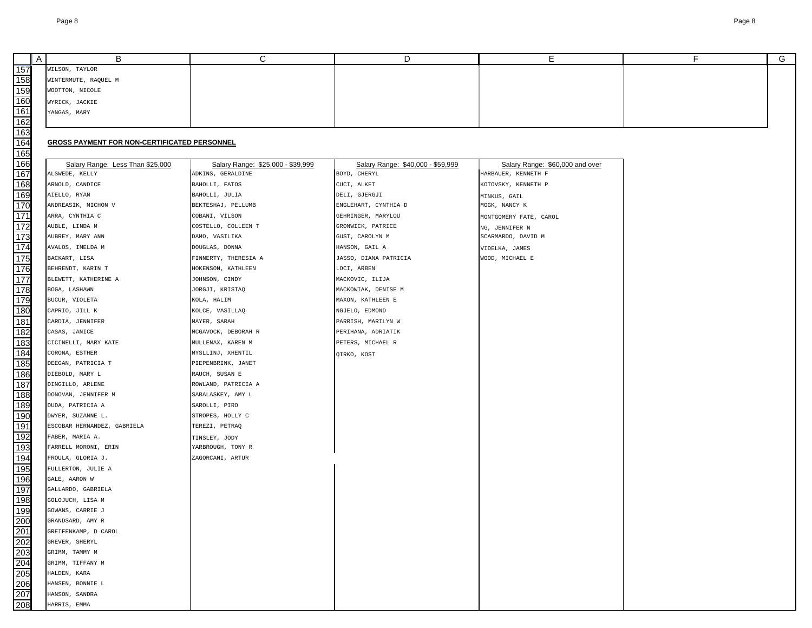|                                                             | A | В                                                   | C                                  | D                                 | Е.                              | F | G |
|-------------------------------------------------------------|---|-----------------------------------------------------|------------------------------------|-----------------------------------|---------------------------------|---|---|
| 157                                                         |   | WILSON, TAYLOR                                      |                                    |                                   |                                 |   |   |
| 158                                                         |   | WINTERMUTE, RAQUEL M                                |                                    |                                   |                                 |   |   |
| 159                                                         |   | WOOTTON, NICOLE                                     |                                    |                                   |                                 |   |   |
| 160                                                         |   | WYRICK, JACKIE                                      |                                    |                                   |                                 |   |   |
| 161                                                         |   | YANGAS, MARY                                        |                                    |                                   |                                 |   |   |
| 162                                                         |   |                                                     |                                    |                                   |                                 |   |   |
| <u>163</u>                                                  |   |                                                     |                                    |                                   |                                 |   |   |
| 164                                                         |   | <b>GROSS PAYMENT FOR NON-CERTIFICATED PERSONNEL</b> |                                    |                                   |                                 |   |   |
| 165                                                         |   |                                                     |                                    |                                   |                                 |   |   |
| 166                                                         |   | Salary Range: Less Than \$25,000                    | Salary Range: \$25,000 - \$39,999  | Salary Range: \$40,000 - \$59,999 | Salary Range: \$60,000 and over |   |   |
| 167                                                         |   | ALSWEDE, KELLY                                      | ADKINS, GERALDINE                  | BOYD, CHERYL                      | HARBAUER, KENNETH F             |   |   |
| 168                                                         |   | ARNOLD, CANDICE                                     | BAHOLLI, FATOS                     | CUCI, ALKET                       | KOTOVSKY, KENNETH P             |   |   |
| 169                                                         |   | AIELLO, RYAN                                        | BAHOLLI, JULIA                     | DELI, GJERGJI                     | MINKUS, GAIL                    |   |   |
| 170                                                         |   | ANDREASIK, MICHON V                                 | BEKTESHAJ, PELLUMB                 | ENGLEHART, CYNTHIA D              | MOGK, NANCY K                   |   |   |
| 171                                                         |   | ARRA, CYNTHIA C                                     | COBANI, VILSON                     | GEHRINGER, MARYLOU                | MONTGOMERY FATE, CAROL          |   |   |
| 172                                                         |   | AUBLE, LINDA M                                      | COSTELLO, COLLEEN T                | GRONWICK, PATRICE                 | NG, JENNIFER N                  |   |   |
| 173                                                         |   | AUBREY, MARY ANN                                    | DAMO, VASILIKA                     | GUST, CAROLYN M                   | SCARMARDO, DAVID M              |   |   |
| 174                                                         |   | AVALOS, IMELDA M                                    | DOUGLAS, DONNA                     | HANSON, GAIL A                    | VIDELKA, JAMES                  |   |   |
| 175                                                         |   | BACKART, LISA                                       | FINNERTY, THERESIA A               | JASSO, DIANA PATRICIA             | WOOD, MICHAEL E                 |   |   |
| 176                                                         |   | BEHRENDT, KARIN T                                   | HOKENSON, KATHLEEN                 | LOCI, ARBEN                       |                                 |   |   |
| 177                                                         |   | BLEWETT, KATHERINE A                                | JOHNSON, CINDY                     | MACKOVIC, ILIJA                   |                                 |   |   |
| 178                                                         |   | BOGA, LASHAWN                                       | JORGJI, KRISTAQ                    | MACKOWIAK, DENISE M               |                                 |   |   |
| 179                                                         |   | BUCUR, VIOLETA                                      | KOLA, HALIM                        | MAXON, KATHLEEN E                 |                                 |   |   |
| 180                                                         |   | CAPRIO, JILL K                                      | KOLCE, VASILLAQ                    | NGJELO, EDMOND                    |                                 |   |   |
| 181                                                         |   | CARDIA, JENNIFER                                    | MAYER, SARAH                       | PARRISH, MARILYN W                |                                 |   |   |
| 182                                                         |   | CASAS, JANICE                                       | MCGAVOCK, DEBORAH R                | PERIHANA, ADRIATIK                |                                 |   |   |
| 183                                                         |   | CICINELLI, MARY KATE                                | MULLENAX, KAREN M                  | PETERS, MICHAEL R                 |                                 |   |   |
| 184                                                         |   | CORONA, ESTHER                                      | MYSLLINJ, XHENTIL                  | QIRKO, KOST                       |                                 |   |   |
| 185                                                         |   | DEEGAN, PATRICIA T                                  | PIEPENBRINK, JANET                 |                                   |                                 |   |   |
| 186                                                         |   | DIEBOLD, MARY L                                     | RAUCH, SUSAN E                     |                                   |                                 |   |   |
| 187                                                         |   | DINGILLO, ARLENE                                    | ROWLAND, PATRICIA A                |                                   |                                 |   |   |
| 188                                                         |   | DONOVAN, JENNIFER M                                 | SABALASKEY, AMY L                  |                                   |                                 |   |   |
| 189                                                         |   | DUDA, PATRICIA A                                    | SAROLLI, PIRO                      |                                   |                                 |   |   |
| 190                                                         |   | DWYER, SUZANNE L.                                   | STROPES, HOLLY C                   |                                   |                                 |   |   |
| 191                                                         |   | ESCOBAR HERNANDEZ, GABRIELA                         | TEREZI, PETRAQ                     |                                   |                                 |   |   |
| 192<br>193                                                  |   | FABER, MARIA A.<br>FARRELL MORONI, ERIN             | TINSLEY, JODY<br>YARBROUGH, TONY R |                                   |                                 |   |   |
|                                                             |   | FROULA, GLORIA J.                                   | ZAGORCANI, ARTUR                   |                                   |                                 |   |   |
| 194<br>195                                                  |   | FULLERTON, JULIE A                                  |                                    |                                   |                                 |   |   |
| 196                                                         |   | GALE, AARON W                                       |                                    |                                   |                                 |   |   |
| 197                                                         |   | GALLARDO, GABRIELA                                  |                                    |                                   |                                 |   |   |
| 198                                                         |   | GOLOJUCH, LISA M                                    |                                    |                                   |                                 |   |   |
| 199                                                         |   | GOWANS, CARRIE J                                    |                                    |                                   |                                 |   |   |
|                                                             |   | GRANDSARD, AMY R                                    |                                    |                                   |                                 |   |   |
|                                                             |   | GREIFENKAMP, D CAROL                                |                                    |                                   |                                 |   |   |
|                                                             |   | GREVER, SHERYL                                      |                                    |                                   |                                 |   |   |
|                                                             |   | GRIMM, TAMMY M                                      |                                    |                                   |                                 |   |   |
|                                                             |   | GRIMM, TIFFANY M                                    |                                    |                                   |                                 |   |   |
| 200<br>201<br>202<br>203<br>204<br>205<br>206<br>207<br>208 |   | HALDEN, KARA                                        |                                    |                                   |                                 |   |   |
|                                                             |   | HANSEN, BONNIE L                                    |                                    |                                   |                                 |   |   |
|                                                             |   | HANSON, SANDRA                                      |                                    |                                   |                                 |   |   |
|                                                             |   | HARRIS, EMMA                                        |                                    |                                   |                                 |   |   |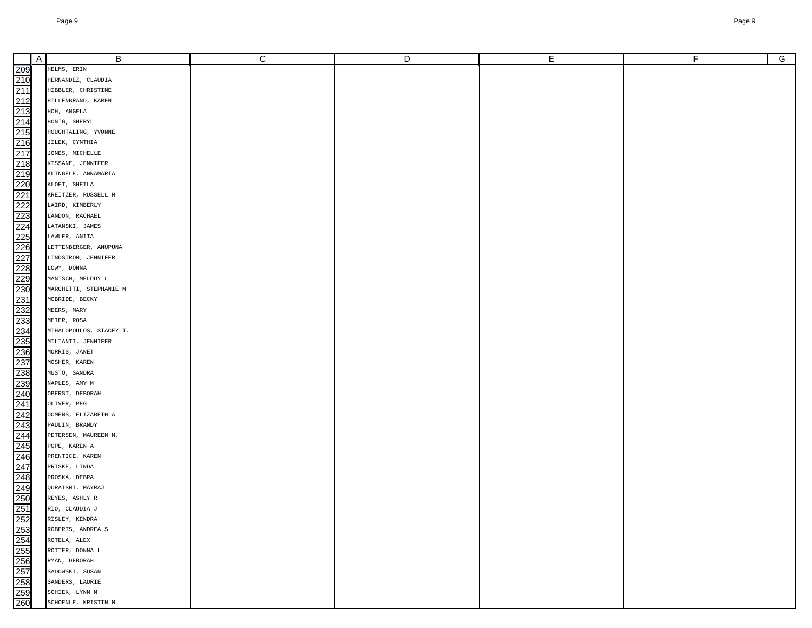| $\overline{A}$ | В                                        | С | D | Е | F | $\overline{G}$ |
|----------------|------------------------------------------|---|---|---|---|----------------|
|                | HELMS, ERIN                              |   |   |   |   |                |
|                |                                          |   |   |   |   |                |
|                | HERNANDEZ, CLAUDIA                       |   |   |   |   |                |
|                | HIBBLER, CHRISTINE<br>HILLENBRAND, KAREN |   |   |   |   |                |
|                | HOH, ANGELA                              |   |   |   |   |                |
|                | HONIG, SHERYL                            |   |   |   |   |                |
|                | HOUGHTALING, YVONNE                      |   |   |   |   |                |
|                | JILEK, CYNTHIA                           |   |   |   |   |                |
|                | JONES, MICHELLE                          |   |   |   |   |                |
|                | KISSANE, JENNIFER                        |   |   |   |   |                |
|                | KLINGELE, ANNAMARIA                      |   |   |   |   |                |
|                | KLOET, SHEILA                            |   |   |   |   |                |
|                | KREITZER, RUSSELL M                      |   |   |   |   |                |
|                | LAIRD, KIMBERLY                          |   |   |   |   |                |
|                | LANDON, RACHAEL                          |   |   |   |   |                |
|                | LATANSKI, JAMES                          |   |   |   |   |                |
|                | LAWLER, ANITA                            |   |   |   |   |                |
|                | LETTENBERGER, ANUPUNA                    |   |   |   |   |                |
|                | LINDSTROM, JENNIFER                      |   |   |   |   |                |
|                | LOWY, DONNA                              |   |   |   |   |                |
|                | MANTSCH, MELODY L                        |   |   |   |   |                |
|                | MARCHETTI, STEPHANIE M                   |   |   |   |   |                |
|                | MCBRIDE, BECKY                           |   |   |   |   |                |
|                | MEERS, MARY                              |   |   |   |   |                |
|                | MEIER, ROSA                              |   |   |   |   |                |
|                | MIHALOPOULOS, STACEY T.                  |   |   |   |   |                |
|                | MILIANTI, JENNIFER                       |   |   |   |   |                |
|                | MORRIS, JANET                            |   |   |   |   |                |
|                | MOSHER, KAREN                            |   |   |   |   |                |
|                | MUSTO, SANDRA                            |   |   |   |   |                |
|                | NAPLES, AMY M                            |   |   |   |   |                |
|                | OBERST, DEBORAH                          |   |   |   |   |                |
|                | OLIVER, PEG                              |   |   |   |   |                |
|                | OOMENS, ELIZABETH A                      |   |   |   |   |                |
|                | PAULIN, BRANDY                           |   |   |   |   |                |
|                | PETERSEN, MAUREEN M.                     |   |   |   |   |                |
|                | POPE, KAREN A                            |   |   |   |   |                |
|                | PRENTICE, KAREN                          |   |   |   |   |                |
|                | PRISKE, LINDA                            |   |   |   |   |                |
|                | PROSKA, DEBRA                            |   |   |   |   |                |
|                | QURAISHI, MAYRAJ                         |   |   |   |   |                |
|                | REYES, ASHLY R                           |   |   |   |   |                |
|                | RIO, CLAUDIA J                           |   |   |   |   |                |
|                | RISLEY, KENDRA                           |   |   |   |   |                |
|                | ROBERTS, ANDREA S                        |   |   |   |   |                |
|                | ROTELA, ALEX                             |   |   |   |   |                |
|                | ROTTER, DONNA L                          |   |   |   |   |                |
|                | RYAN, DEBORAH                            |   |   |   |   |                |
|                | SADOWSKI, SUSAN                          |   |   |   |   |                |
|                | SANDERS, LAURIE                          |   |   |   |   |                |
|                | SCHIEK, LYNN M                           |   |   |   |   |                |
|                | SCHOENLE, KRISTIN M                      |   |   |   |   |                |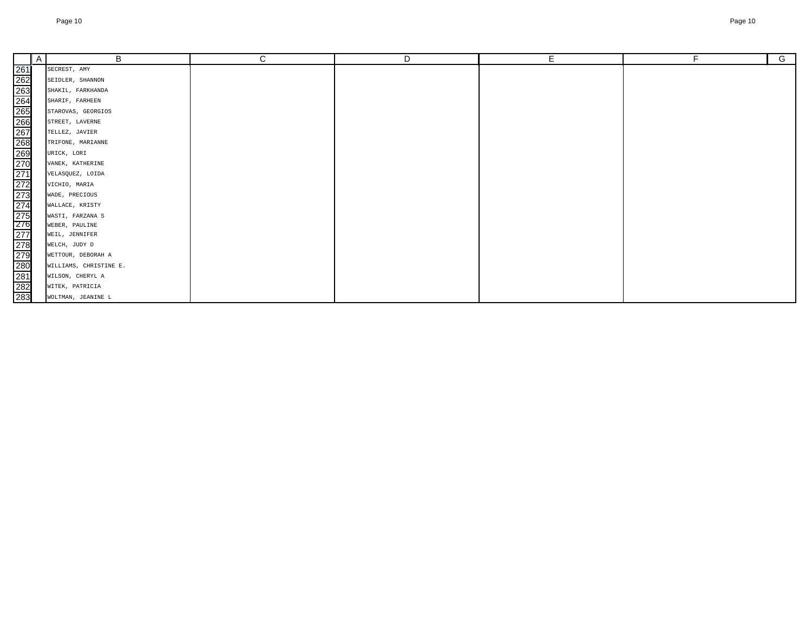|                                                                                                                                                                             | $\overline{A}$ | В                      | C | D | Е | F. | $\overline{G}$ |
|-----------------------------------------------------------------------------------------------------------------------------------------------------------------------------|----------------|------------------------|---|---|---|----|----------------|
| 261<br>262<br>263<br>263<br>263<br>263<br>263<br>272<br>272<br>272<br>273<br>272<br>272<br>272<br>283<br>283<br>283<br>283<br>283<br>283<br>283<br>272<br>272<br>272<br>283 |                | SECREST, AMY           |   |   |   |    |                |
|                                                                                                                                                                             |                | SEIDLER, SHANNON       |   |   |   |    |                |
|                                                                                                                                                                             |                | SHAKIL, FARKHANDA      |   |   |   |    |                |
|                                                                                                                                                                             |                | SHARIF, FARHEEN        |   |   |   |    |                |
|                                                                                                                                                                             |                | STAROVAS, GEORGIOS     |   |   |   |    |                |
|                                                                                                                                                                             |                | STREET, LAVERNE        |   |   |   |    |                |
|                                                                                                                                                                             |                | TELLEZ, JAVIER         |   |   |   |    |                |
|                                                                                                                                                                             |                | TRIFONE, MARIANNE      |   |   |   |    |                |
|                                                                                                                                                                             |                | URICK, LORI            |   |   |   |    |                |
|                                                                                                                                                                             |                | VANEK, KATHERINE       |   |   |   |    |                |
|                                                                                                                                                                             |                | VELASQUEZ, LOIDA       |   |   |   |    |                |
|                                                                                                                                                                             |                | VICHIO, MARIA          |   |   |   |    |                |
|                                                                                                                                                                             |                | WADE, PRECIOUS         |   |   |   |    |                |
|                                                                                                                                                                             |                | WALLACE, KRISTY        |   |   |   |    |                |
|                                                                                                                                                                             |                | WASTI, FARZANA S       |   |   |   |    |                |
|                                                                                                                                                                             |                | WEBER, PAULINE         |   |   |   |    |                |
|                                                                                                                                                                             |                | WEIL, JENNIFER         |   |   |   |    |                |
|                                                                                                                                                                             |                | WELCH, JUDY D          |   |   |   |    |                |
|                                                                                                                                                                             |                | WETTOUR, DEBORAH A     |   |   |   |    |                |
|                                                                                                                                                                             |                | WILLIAMS, CHRISTINE E. |   |   |   |    |                |
|                                                                                                                                                                             |                | WILSON, CHERYL A       |   |   |   |    |                |
|                                                                                                                                                                             |                | WITEK, PATRICIA        |   |   |   |    |                |
|                                                                                                                                                                             |                | WOLTMAN, JEANINE L     |   |   |   |    |                |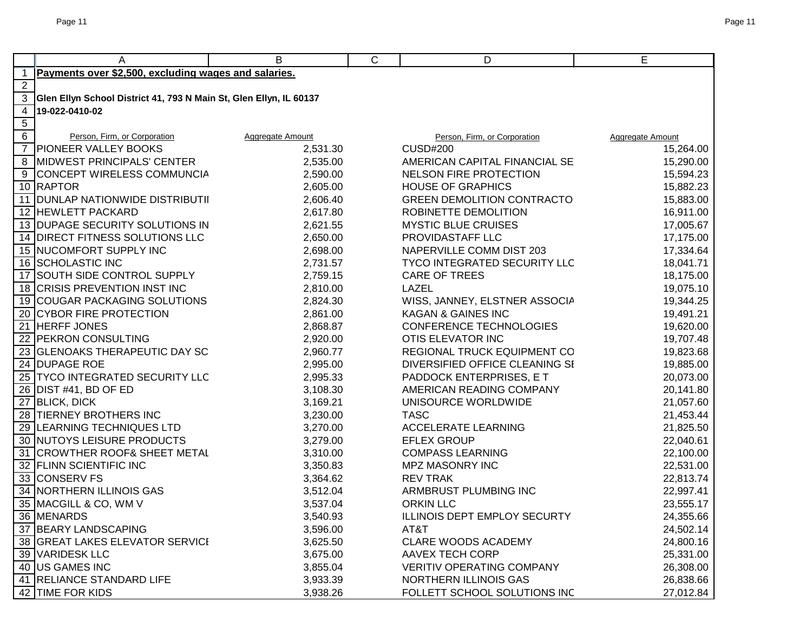|                 | Α                                                                  | B                | C | D                                   | E                |
|-----------------|--------------------------------------------------------------------|------------------|---|-------------------------------------|------------------|
| $\mathbf{1}$    | Payments over \$2,500, excluding wages and salaries.               |                  |   |                                     |                  |
| $\mathbf{2}$    |                                                                    |                  |   |                                     |                  |
| 3               | Glen Ellyn School District 41, 793 N Main St, Glen Ellyn, IL 60137 |                  |   |                                     |                  |
| 4               | 19-022-0410-02                                                     |                  |   |                                     |                  |
| $5\overline{)}$ |                                                                    |                  |   |                                     |                  |
| 6               | Person, Firm, or Corporation                                       | Aggregate Amount |   | Person, Firm, or Corporation        | Aggregate Amount |
| $\overline{7}$  | <b>PIONEER VALLEY BOOKS</b>                                        | 2,531.30         |   | <b>CUSD#200</b>                     | 15,264.00        |
| 8               | <b>MIDWEST PRINCIPALS' CENTER</b>                                  | 2,535.00         |   | AMERICAN CAPITAL FINANCIAL SE       | 15,290.00        |
| 9               | CONCEPT WIRELESS COMMUNCIA                                         | 2,590.00         |   | NELSON FIRE PROTECTION              | 15,594.23        |
|                 | 10 RAPTOR                                                          | 2,605.00         |   | <b>HOUSE OF GRAPHICS</b>            | 15,882.23        |
| 11              | <b>DUNLAP NATIONWIDE DISTRIBUTII</b>                               | 2,606.40         |   | <b>GREEN DEMOLITION CONTRACTO</b>   | 15,883.00        |
|                 | 12 HEWLETT PACKARD                                                 | 2,617.80         |   | ROBINETTE DEMOLITION                | 16,911.00        |
|                 | 13 DUPAGE SECURITY SOLUTIONS IN                                    | 2,621.55         |   | <b>MYSTIC BLUE CRUISES</b>          | 17,005.67        |
|                 | 14 DIRECT FITNESS SOLUTIONS LLC                                    | 2,650.00         |   | PROVIDASTAFF LLC                    | 17,175.00        |
|                 | 15 NUCOMFORT SUPPLY INC                                            | 2,698.00         |   | NAPERVILLE COMM DIST 203            | 17,334.64        |
|                 | <b>16 SCHOLASTIC INC</b>                                           | 2,731.57         |   | <b>TYCO INTEGRATED SECURITY LLC</b> | 18,041.71        |
|                 | 17 SOUTH SIDE CONTROL SUPPLY                                       | 2,759.15         |   | <b>CARE OF TREES</b>                | 18,175.00        |
|                 | 18 CRISIS PREVENTION INST INC                                      | 2,810.00         |   | LAZEL                               | 19,075.10        |
|                 | 19 COUGAR PACKAGING SOLUTIONS                                      | 2,824.30         |   | WISS, JANNEY, ELSTNER ASSOCIA       | 19,344.25        |
|                 | 20 CYBOR FIRE PROTECTION                                           | 2,861.00         |   | KAGAN & GAINES INC                  | 19,491.21        |
|                 | 21 HERFF JONES                                                     | 2,868.87         |   | <b>CONFERENCE TECHNOLOGIES</b>      | 19,620.00        |
|                 | 22 PEKRON CONSULTING                                               | 2,920.00         |   | OTIS ELEVATOR INC                   | 19,707.48        |
|                 | 23 GLENOAKS THERAPEUTIC DAY SC                                     | 2,960.77         |   | REGIONAL TRUCK EQUIPMENT CO         | 19,823.68        |
|                 | 24 DUPAGE ROE                                                      | 2,995.00         |   | DIVERSIFIED OFFICE CLEANING SI      | 19,885.00        |
|                 | 25 TYCO INTEGRATED SECURITY LLC                                    | 2,995.33         |   | PADDOCK ENTERPRISES, E T            | 20,073.00        |
|                 | 26 DIST #41, BD OF ED                                              | 3,108.30         |   | AMERICAN READING COMPANY            | 20,141.80        |
| 27              | <b>BLICK, DICK</b>                                                 | 3,169.21         |   | UNISOURCE WORLDWIDE                 | 21,057.60        |
|                 | 28 TIERNEY BROTHERS INC                                            | 3,230.00         |   | <b>TASC</b>                         | 21,453.44        |
|                 | 29 LEARNING TECHNIQUES LTD                                         | 3,270.00         |   | <b>ACCELERATE LEARNING</b>          | 21,825.50        |
|                 | 30 NUTOYS LEISURE PRODUCTS                                         | 3,279.00         |   | <b>EFLEX GROUP</b>                  | 22,040.61        |
|                 | 31 CROWTHER ROOF& SHEET METAL                                      | 3,310.00         |   | <b>COMPASS LEARNING</b>             | 22,100.00        |
|                 | 32 FLINN SCIENTIFIC INC                                            | 3,350.83         |   | <b>MPZ MASONRY INC</b>              | 22,531.00        |
|                 | 33 CONSERV FS                                                      | 3,364.62         |   | <b>REV TRAK</b>                     | 22,813.74        |
|                 | 34 NORTHERN ILLINOIS GAS                                           | 3,512.04         |   | ARMBRUST PLUMBING INC               | 22,997.41        |
|                 | 35 MACGILL & CO, WM V                                              | 3,537.04         |   | <b>ORKIN LLC</b>                    | 23,555.17        |
|                 | 36 MENARDS                                                         | 3,540.93         |   | <b>ILLINOIS DEPT EMPLOY SECURTY</b> | 24,355.66        |
|                 | 37 BEARY LANDSCAPING                                               | 3,596.00         |   | AT&T                                | 24,502.14        |
|                 | 38 GREAT LAKES ELEVATOR SERVICI                                    | 3,625.50         |   | <b>CLARE WOODS ACADEMY</b>          | 24,800.16        |
|                 | 39 VARIDESK LLC                                                    | 3,675.00         |   | AAVEX TECH CORP                     | 25,331.00        |
|                 | 40 US GAMES INC                                                    | 3,855.04         |   | <b>VERITIV OPERATING COMPANY</b>    | 26,308.00        |
|                 | 41 RELIANCE STANDARD LIFE                                          | 3,933.39         |   | NORTHERN ILLINOIS GAS               | 26,838.66        |
|                 | 42 TIME FOR KIDS                                                   | 3,938.26         |   | FOLLETT SCHOOL SOLUTIONS INC        | 27,012.84        |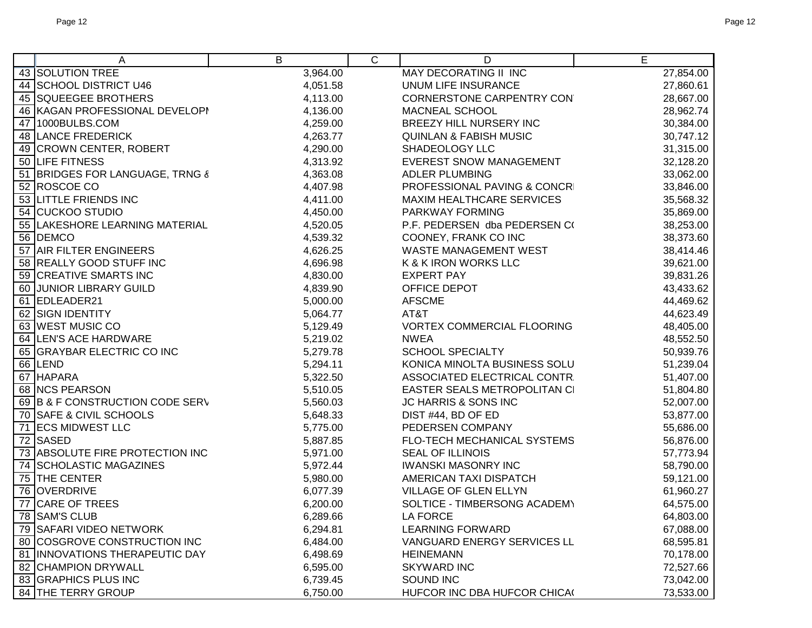| A                               | В        | C | D                                 | Е         |
|---------------------------------|----------|---|-----------------------------------|-----------|
| 43 SOLUTION TREE                | 3,964.00 |   | <b>MAY DECORATING II INC</b>      | 27,854.00 |
| 44 SCHOOL DISTRICT U46          | 4,051.58 |   | UNUM LIFE INSURANCE               | 27,860.61 |
| 45 SQUEEGEE BROTHERS            | 4,113.00 |   | CORNERSTONE CARPENTRY CON         | 28,667.00 |
| 46 KAGAN PROFESSIONAL DEVELOPI  | 4,136.00 |   | MACNEAL SCHOOL                    | 28,962.74 |
| 47 1000BULBS.COM                | 4,259.00 |   | BREEZY HILL NURSERY INC           | 30,384.00 |
| 48 LANCE FREDERICK              | 4,263.77 |   | <b>QUINLAN &amp; FABISH MUSIC</b> | 30,747.12 |
| 49 CROWN CENTER, ROBERT         | 4,290.00 |   | SHADEOLOGY LLC                    | 31,315.00 |
| 50 LIFE FITNESS                 | 4,313.92 |   | <b>EVEREST SNOW MANAGEMENT</b>    | 32,128.20 |
| 51 BRIDGES FOR LANGUAGE, TRNG & | 4,363.08 |   | <b>ADLER PLUMBING</b>             | 33,062.00 |
| 52 ROSCOE CO                    | 4,407.98 |   | PROFESSIONAL PAVING & CONCRI      | 33,846.00 |
| 53 LITTLE FRIENDS INC           | 4,411.00 |   | MAXIM HEALTHCARE SERVICES         | 35,568.32 |
| 54 CUCKOO STUDIO                | 4,450.00 |   | PARKWAY FORMING                   | 35,869.00 |
| 55 LAKESHORE LEARNING MATERIAL  | 4,520.05 |   | P.F. PEDERSEN dba PEDERSEN CO     | 38,253.00 |
| 56 DEMCO                        | 4,539.32 |   | COONEY, FRANK CO INC              | 38,373.60 |
| 57 AIR FILTER ENGINEERS         | 4,626.25 |   | WASTE MANAGEMENT WEST             | 38,414.46 |
| 58 REALLY GOOD STUFF INC        | 4,696.98 |   | K & K IRON WORKS LLC              | 39,621.00 |
| 59 CREATIVE SMARTS INC          | 4,830.00 |   | <b>EXPERT PAY</b>                 | 39,831.26 |
| 60 JUNIOR LIBRARY GUILD         | 4,839.90 |   | OFFICE DEPOT                      | 43,433.62 |
| 61 EDLEADER21                   | 5,000.00 |   | <b>AFSCME</b>                     | 44,469.62 |
| 62 SIGN IDENTITY                | 5,064.77 |   | AT&T                              | 44,623.49 |
| 63 WEST MUSIC CO                | 5,129.49 |   | <b>VORTEX COMMERCIAL FLOORING</b> | 48,405.00 |
| 64 LEN'S ACE HARDWARE           | 5,219.02 |   | <b>NWEA</b>                       | 48,552.50 |
| 65 GRAYBAR ELECTRIC CO INC      | 5,279.78 |   | <b>SCHOOL SPECIALTY</b>           | 50,939.76 |
| 66 LEND                         | 5,294.11 |   | KONICA MINOLTA BUSINESS SOLU      | 51,239.04 |
| 67 HAPARA                       | 5,322.50 |   | ASSOCIATED ELECTRICAL CONTR.      | 51,407.00 |
| 68 NCS PEARSON                  | 5,510.05 |   | EASTER SEALS METROPOLITAN CI      | 51,804.80 |
| 69 B & F CONSTRUCTION CODE SERV | 5,560.03 |   | JC HARRIS & SONS INC              | 52,007.00 |
| 70 SAFE & CIVIL SCHOOLS         | 5,648.33 |   | DIST #44, BD OF ED                | 53,877.00 |
| 71 ECS MIDWEST LLC              | 5,775.00 |   | PEDERSEN COMPANY                  | 55,686.00 |
| 72 SASED                        | 5,887.85 |   | FLO-TECH MECHANICAL SYSTEMS       | 56,876.00 |
| 73 ABSOLUTE FIRE PROTECTION INC | 5,971.00 |   | SEAL OF ILLINOIS                  | 57,773.94 |
| 74 SCHOLASTIC MAGAZINES         | 5,972.44 |   | <b>IWANSKI MASONRY INC</b>        | 58,790.00 |
| 75 THE CENTER                   | 5,980.00 |   | AMERICAN TAXI DISPATCH            | 59,121.00 |
| 76 OVERDRIVE                    | 6,077.39 |   | VILLAGE OF GLEN ELLYN             | 61,960.27 |
| 77 CARE OF TREES                | 6,200.00 |   | SOLTICE - TIMBERSONG ACADEMY      | 64,575.00 |
| 78 SAM'S CLUB                   | 6,289.66 |   | LA FORCE                          | 64,803.00 |
| 79 SAFARI VIDEO NETWORK         | 6,294.81 |   | <b>LEARNING FORWARD</b>           | 67,088.00 |
| 80 COSGROVE CONSTRUCTION INC    | 6,484.00 |   | VANGUARD ENERGY SERVICES LL       | 68,595.81 |
| 81 INNOVATIONS THERAPEUTIC DAY  | 6,498.69 |   | <b>HEINEMANN</b>                  | 70,178.00 |
| 82 CHAMPION DRYWALL             | 6,595.00 |   | <b>SKYWARD INC</b>                | 72,527.66 |
| 83 GRAPHICS PLUS INC            | 6,739.45 |   | SOUND INC                         | 73,042.00 |
| <b>84 THE TERRY GROUP</b>       | 6,750.00 |   | HUFCOR INC DBA HUFCOR CHICA(      | 73,533.00 |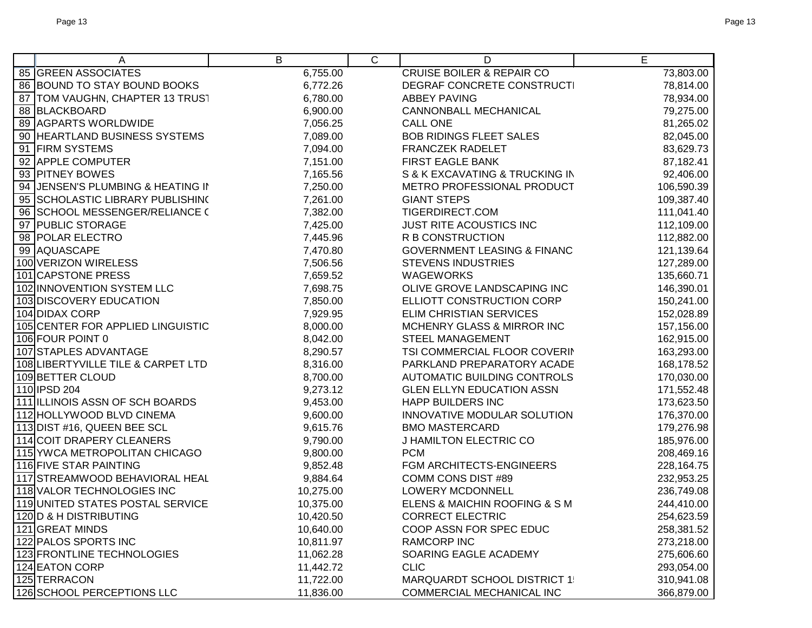| Α                                  | B         | $\mathsf{C}$                         | D                                      | E          |
|------------------------------------|-----------|--------------------------------------|----------------------------------------|------------|
| <b>85 GREEN ASSOCIATES</b>         | 6,755.00  | <b>CRUISE BOILER &amp; REPAIR CO</b> |                                        | 73,803.00  |
| 86 BOUND TO STAY BOUND BOOKS       | 6,772.26  | DEGRAF CONCRETE CONSTRUCTI           |                                        | 78,814.00  |
| 87   TOM VAUGHN, CHAPTER 13 TRUST  | 6,780.00  | <b>ABBEY PAVING</b>                  |                                        | 78,934.00  |
| 88 BLACKBOARD                      | 6,900.00  |                                      | <b>CANNONBALL MECHANICAL</b>           | 79,275.00  |
| 89 AGPARTS WORLDWIDE               | 7,056.25  |                                      | <b>CALL ONE</b>                        | 81,265.02  |
| 90 HEARTLAND BUSINESS SYSTEMS      | 7,089.00  |                                      | <b>BOB RIDINGS FLEET SALES</b>         | 82,045.00  |
| 91 FIRM SYSTEMS                    | 7,094.00  |                                      | <b>FRANCZEK RADELET</b>                | 83,629.73  |
| 92 APPLE COMPUTER                  | 7,151.00  |                                      | FIRST EAGLE BANK                       | 87,182.41  |
| 93 PITNEY BOWES                    | 7,165.56  |                                      | S & K EXCAVATING & TRUCKING IN         | 92,406.00  |
| 94 JENSEN'S PLUMBING & HEATING IN  | 7,250.00  |                                      | METRO PROFESSIONAL PRODUCT             | 106,590.39 |
| 95 SCHOLASTIC LIBRARY PUBLISHING   | 7,261.00  |                                      | <b>GIANT STEPS</b>                     | 109,387.40 |
| 96 SCHOOL MESSENGER/RELIANCE (     | 7,382.00  |                                      | TIGERDIRECT.COM                        | 111,041.40 |
| 97 PUBLIC STORAGE                  | 7,425.00  |                                      | <b>JUST RITE ACOUSTICS INC</b>         | 112,109.00 |
| 98 POLAR ELECTRO                   | 7,445.96  |                                      | R B CONSTRUCTION                       | 112,882.00 |
| 99 AQUASCAPE                       | 7,470.80  |                                      | <b>GOVERNMENT LEASING &amp; FINANC</b> | 121,139.64 |
| 100 VERIZON WIRELESS               | 7,506.56  |                                      | <b>STEVENS INDUSTRIES</b>              | 127,289.00 |
| 101 CAPSTONE PRESS                 | 7,659.52  |                                      | <b>WAGEWORKS</b>                       | 135,660.71 |
| 102 INNOVENTION SYSTEM LLC         | 7,698.75  |                                      | OLIVE GROVE LANDSCAPING INC            | 146,390.01 |
| 103 DISCOVERY EDUCATION            | 7,850.00  |                                      | ELLIOTT CONSTRUCTION CORP              | 150,241.00 |
| 104 DIDAX CORP                     | 7,929.95  |                                      | ELIM CHRISTIAN SERVICES                | 152,028.89 |
| 105 CENTER FOR APPLIED LINGUISTIC  | 8,000.00  |                                      | MCHENRY GLASS & MIRROR INC             | 157,156.00 |
| 106 FOUR POINT 0                   | 8,042.00  |                                      | <b>STEEL MANAGEMENT</b>                | 162,915.00 |
| 107 STAPLES ADVANTAGE              | 8,290.57  |                                      | TSI COMMERCIAL FLOOR COVERIN           | 163,293.00 |
| 108 LIBERTYVILLE TILE & CARPET LTD | 8,316.00  |                                      | PARKLAND PREPARATORY ACADE             | 168,178.52 |
| 109 BETTER CLOUD                   | 8,700.00  |                                      | AUTOMATIC BUILDING CONTROLS            | 170,030.00 |
| 110 IPSD 204                       | 9,273.12  |                                      | <b>GLEN ELLYN EDUCATION ASSN</b>       | 171,552.48 |
| 111 ILLINOIS ASSN OF SCH BOARDS    | 9,453.00  |                                      | <b>HAPP BUILDERS INC</b>               | 173,623.50 |
| 112 HOLLYWOOD BLVD CINEMA          | 9,600.00  |                                      | INNOVATIVE MODULAR SOLUTION            | 176,370.00 |
| 113 DIST #16, QUEEN BEE SCL        | 9,615.76  |                                      | <b>BMO MASTERCARD</b>                  | 179,276.98 |
| 114 COIT DRAPERY CLEANERS          | 9,790.00  |                                      | J HAMILTON ELECTRIC CO                 | 185,976.00 |
| 115 YWCA METROPOLITAN CHICAGO      | 9,800.00  |                                      | <b>PCM</b>                             | 208,469.16 |
| 116 FIVE STAR PAINTING             | 9,852.48  |                                      | FGM ARCHITECTS-ENGINEERS               | 228,164.75 |
| 117 STREAMWOOD BEHAVIORAL HEAL     | 9,884.64  |                                      | COMM CONS DIST #89                     | 232,953.25 |
| 118 VALOR TECHNOLOGIES INC         | 10,275.00 |                                      | <b>LOWERY MCDONNELL</b>                | 236,749.08 |
| 119 UNITED STATES POSTAL SERVICE   | 10,375.00 |                                      | ELENS & MAICHIN ROOFING & S M          | 244,410.00 |
| 120 D & H DISTRIBUTING             | 10,420.50 |                                      | <b>CORRECT ELECTRIC</b>                | 254,623.59 |
| 121 GREAT MINDS                    | 10,640.00 |                                      | COOP ASSN FOR SPEC EDUC                | 258,381.52 |
| 122 PALOS SPORTS INC               | 10,811.97 |                                      | <b>RAMCORP INC</b>                     | 273,218.00 |
| 123 FRONTLINE TECHNOLOGIES         | 11,062.28 |                                      | SOARING EAGLE ACADEMY                  | 275,606.60 |
| 124 EATON CORP                     | 11,442.72 |                                      | <b>CLIC</b>                            | 293,054.00 |
| 125 TERRACON                       | 11,722.00 |                                      | <b>MARQUARDT SCHOOL DISTRICT 1:</b>    | 310,941.08 |
| 126 SCHOOL PERCEPTIONS LLC         | 11,836.00 |                                      | COMMERCIAL MECHANICAL INC              | 366,879.00 |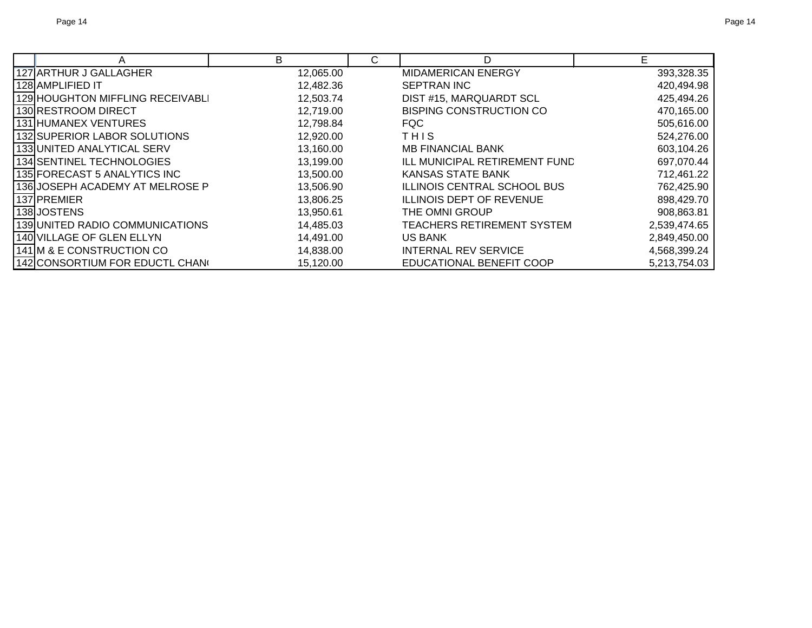|                                  | B         | C | D                               | Е            |
|----------------------------------|-----------|---|---------------------------------|--------------|
| 127 ARTHUR J GALLAGHER           | 12,065.00 |   | <b>MIDAMERICAN ENERGY</b>       | 393,328.35   |
| l 128 IAMPLIFIED IT              | 12,482.36 |   | SEPTRAN INC                     | 420,494.98   |
| 129 HOUGHTON MIFFLING RECEIVABLI | 12,503.74 |   | DIST #15, MARQUARDT SCL         | 425,494.26   |
| 130 RESTROOM DIRECT              | 12,719.00 |   | <b>BISPING CONSTRUCTION CO</b>  | 470,165.00   |
| 131 HUMANEX VENTURES             | 12,798.84 |   | <b>FQC</b>                      | 505,616.00   |
| 132 SUPERIOR LABOR SOLUTIONS     | 12,920.00 |   | THIS                            | 524,276.00   |
| 133 UNITED ANALYTICAL SERV       | 13,160.00 |   | <b>MB FINANCIAL BANK</b>        | 603,104.26   |
| 134 SENTINEL TECHNOLOGIES        | 13,199.00 |   | ILL MUNICIPAL RETIREMENT FUND   | 697,070.44   |
| 135 FORECAST 5 ANALYTICS INC     | 13,500.00 |   | <b>KANSAS STATE BANK</b>        | 712,461.22   |
| 136 JOSEPH ACADEMY AT MELROSE P  | 13,506.90 |   | ILLINOIS CENTRAL SCHOOL BUS     | 762,425.90   |
| I137IPREMIER                     | 13,806.25 |   | <b>ILLINOIS DEPT OF REVENUE</b> | 898,429.70   |
| 138JOSTENS                       | 13,950.61 |   | THE OMNI GROUP                  | 908,863.81   |
| 139 UNITED RADIO COMMUNICATIONS  | 14,485.03 |   | TEACHERS RETIREMENT SYSTEM      | 2,539,474.65 |
| 140 VILLAGE OF GLEN ELLYN        | 14,491.00 |   | <b>US BANK</b>                  | 2,849,450.00 |
| 141 M & E CONSTRUCTION CO        | 14,838.00 |   | INTERNAL REV SERVICE            | 4,568,399.24 |
| 142 CONSORTIUM FOR EDUCTL CHANG  | 15,120.00 |   | EDUCATIONAL BENEFIT COOP        | 5,213,754.03 |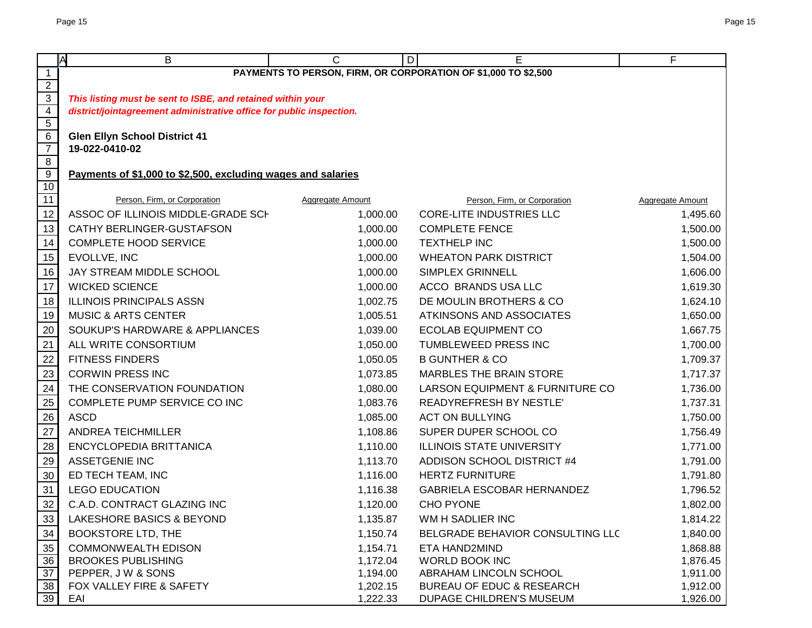|                     | <b>A</b><br>B                                                        | C                | E<br>D                                                         | F                |  |  |
|---------------------|----------------------------------------------------------------------|------------------|----------------------------------------------------------------|------------------|--|--|
| $\overline{1}$      |                                                                      |                  | PAYMENTS TO PERSON, FIRM, OR CORPORATION OF \$1,000 TO \$2,500 |                  |  |  |
| $\overline{2}$      |                                                                      |                  |                                                                |                  |  |  |
| $\overline{3}$      | This listing must be sent to ISBE, and retained within your          |                  |                                                                |                  |  |  |
| $\overline{4}$      | district/jointagreement administrative office for public inspection. |                  |                                                                |                  |  |  |
| $\overline{5}$<br>6 | <b>Glen Ellyn School District 41</b>                                 |                  |                                                                |                  |  |  |
| $\overline{7}$      | 19-022-0410-02                                                       |                  |                                                                |                  |  |  |
| $\overline{8}$      |                                                                      |                  |                                                                |                  |  |  |
| $\overline{9}$      | Payments of \$1,000 to \$2,500, excluding wages and salaries         |                  |                                                                |                  |  |  |
| 10                  |                                                                      |                  |                                                                |                  |  |  |
| 11                  | Person, Firm, or Corporation                                         | Aggregate Amount | Person, Firm, or Corporation                                   | Aggregate Amount |  |  |
| 12                  | ASSOC OF ILLINOIS MIDDLE-GRADE SCH                                   | 1,000.00         | <b>CORE-LITE INDUSTRIES LLC</b>                                | 1,495.60         |  |  |
| 13                  | CATHY BERLINGER-GUSTAFSON                                            | 1,000.00         | <b>COMPLETE FENCE</b>                                          | 1,500.00         |  |  |
| 14                  | <b>COMPLETE HOOD SERVICE</b>                                         | 1,000.00         | <b>TEXTHELP INC</b>                                            | 1,500.00         |  |  |
| 15                  | EVOLLVE, INC                                                         | 1,000.00         | <b>WHEATON PARK DISTRICT</b>                                   | 1,504.00         |  |  |
| 16                  | JAY STREAM MIDDLE SCHOOL                                             | 1,000.00         | SIMPLEX GRINNELL                                               | 1,606.00         |  |  |
| 17                  | <b>WICKED SCIENCE</b>                                                | 1,000.00         | ACCO BRANDS USA LLC                                            | 1,619.30         |  |  |
| 18                  | <b>ILLINOIS PRINCIPALS ASSN</b>                                      | 1,002.75         | DE MOULIN BROTHERS & CO                                        | 1,624.10         |  |  |
| 19                  | <b>MUSIC &amp; ARTS CENTER</b>                                       | 1,005.51         | ATKINSONS AND ASSOCIATES                                       | 1,650.00         |  |  |
| 20                  | SOUKUP'S HARDWARE & APPLIANCES                                       | 1,039.00         | <b>ECOLAB EQUIPMENT CO</b>                                     | 1,667.75         |  |  |
| 21                  | ALL WRITE CONSORTIUM                                                 | 1,050.00         | TUMBLEWEED PRESS INC                                           | 1,700.00         |  |  |
| 22                  | <b>FITNESS FINDERS</b>                                               | 1,050.05         | <b>B GUNTHER &amp; CO</b>                                      | 1,709.37         |  |  |
| 23                  | <b>CORWIN PRESS INC</b>                                              | 1,073.85         | MARBLES THE BRAIN STORE                                        | 1,717.37         |  |  |
| 24                  | THE CONSERVATION FOUNDATION                                          | 1,080.00         | LARSON EQUIPMENT & FURNITURE CO                                | 1,736.00         |  |  |
| 25                  | COMPLETE PUMP SERVICE CO INC                                         | 1,083.76         | <b>READYREFRESH BY NESTLE'</b>                                 | 1,737.31         |  |  |
| 26                  | <b>ASCD</b>                                                          | 1,085.00         | <b>ACT ON BULLYING</b>                                         | 1,750.00         |  |  |
| 27                  | <b>ANDREA TEICHMILLER</b>                                            | 1,108.86         | SUPER DUPER SCHOOL CO                                          | 1,756.49         |  |  |
| 28                  | ENCYCLOPEDIA BRITTANICA                                              | 1,110.00         | <b>ILLINOIS STATE UNIVERSITY</b>                               | 1,771.00         |  |  |
| 29                  | <b>ASSETGENIE INC</b>                                                | 1,113.70         | ADDISON SCHOOL DISTRICT #4                                     | 1,791.00         |  |  |
| 30                  | ED TECH TEAM, INC                                                    | 1,116.00         | <b>HERTZ FURNITURE</b>                                         | 1,791.80         |  |  |
| 31                  | <b>LEGO EDUCATION</b>                                                | 1,116.38         | GABRIELA ESCOBAR HERNANDEZ                                     | 1,796.52         |  |  |
| 32                  | C.A.D. CONTRACT GLAZING INC                                          | 1,120.00         | <b>CHO PYONE</b>                                               | 1,802.00         |  |  |
| 33                  | LAKESHORE BASICS & BEYOND                                            | 1,135.87         | WM H SADLIER INC                                               | 1,814.22         |  |  |
| 34                  | <b>BOOKSTORE LTD, THE</b>                                            | 1,150.74         | BELGRADE BEHAVIOR CONSULTING LLC                               | 1,840.00         |  |  |
| 35                  | <b>COMMONWEALTH EDISON</b>                                           | 1,154.71         | ETA HAND2MIND                                                  | 1,868.88         |  |  |
| 36                  | <b>BROOKES PUBLISHING</b>                                            | 1,172.04         | WORLD BOOK INC                                                 | 1,876.45         |  |  |
| 37                  | PEPPER, J W & SONS                                                   | 1,194.00         | ABRAHAM LINCOLN SCHOOL                                         | 1,911.00         |  |  |
| 38                  | FOX VALLEY FIRE & SAFETY                                             | 1,202.15         | BUREAU OF EDUC & RESEARCH                                      | 1,912.00         |  |  |
| 39                  | EAI                                                                  | 1,222.33         | DUPAGE CHILDREN'S MUSEUM                                       | 1,926.00         |  |  |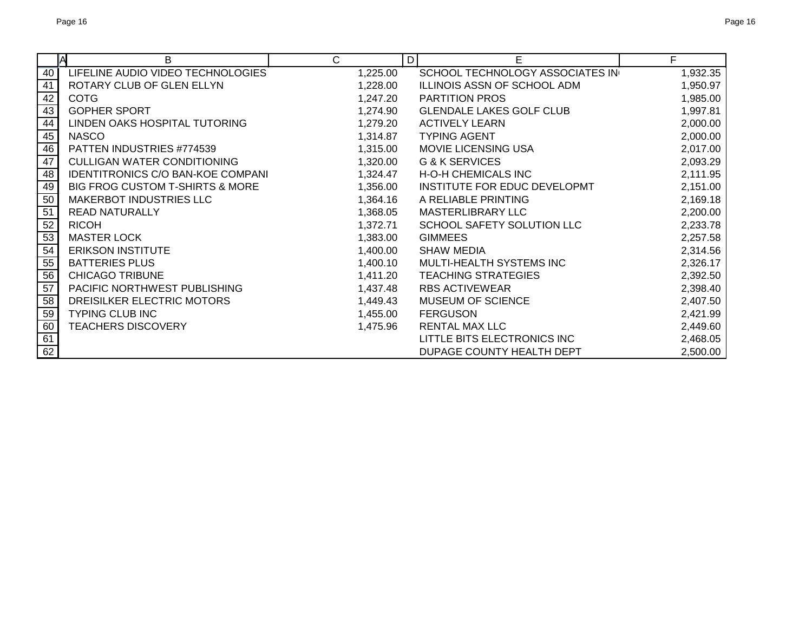|                 | B<br>ΙA                                    | C        | D<br>Е                          | F        |
|-----------------|--------------------------------------------|----------|---------------------------------|----------|
| 40              | LIFELINE AUDIO VIDEO TECHNOLOGIES          | 1,225.00 | SCHOOL TECHNOLOGY ASSOCIATES IN | 1,932.35 |
| 41              | ROTARY CLUB OF GLEN ELLYN                  | 1,228.00 | ILLINOIS ASSN OF SCHOOL ADM     | 1,950.97 |
| 42              | <b>COTG</b>                                | 1,247.20 | <b>PARTITION PROS</b>           | 1,985.00 |
| 43              | <b>GOPHER SPORT</b>                        | 1,274.90 | <b>GLENDALE LAKES GOLF CLUB</b> | 1,997.81 |
| 44              | LINDEN OAKS HOSPITAL TUTORING              | 1,279.20 | <b>ACTIVELY LEARN</b>           | 2,000.00 |
| 45              | <b>NASCO</b>                               | 1,314.87 | <b>TYPING AGENT</b>             | 2,000.00 |
| 46              | PATTEN INDUSTRIES #774539                  | 1,315.00 | <b>MOVIE LICENSING USA</b>      | 2,017.00 |
| 47              | <b>CULLIGAN WATER CONDITIONING</b>         | 1,320.00 | <b>G &amp; K SERVICES</b>       | 2,093.29 |
| 48              | IDENTITRONICS C/O BAN-KOE COMPANI          | 1,324.47 | <b>H-O-H CHEMICALS INC</b>      | 2,111.95 |
| 49              | <b>BIG FROG CUSTOM T-SHIRTS &amp; MORE</b> | 1,356.00 | INSTITUTE FOR EDUC DEVELOPMT    | 2,151.00 |
| 50              | MAKERBOT INDUSTRIES LLC                    | 1,364.16 | A RELIABLE PRINTING             | 2,169.18 |
| $\overline{51}$ | <b>READ NATURALLY</b>                      | 1,368.05 | <b>MASTERLIBRARY LLC</b>        | 2,200.00 |
| 52              | <b>RICOH</b>                               | 1,372.71 | SCHOOL SAFETY SOLUTION LLC      | 2,233.78 |
| 53              | <b>MASTER LOCK</b>                         | 1,383.00 | <b>GIMMEES</b>                  | 2,257.58 |
| 54              | <b>ERIKSON INSTITUTE</b>                   | 1,400.00 | <b>SHAW MEDIA</b>               | 2,314.56 |
| 55              | <b>BATTERIES PLUS</b>                      | 1,400.10 | MULTI-HEALTH SYSTEMS INC        | 2,326.17 |
| 56              | <b>CHICAGO TRIBUNE</b>                     | 1,411.20 | <b>TEACHING STRATEGIES</b>      | 2,392.50 |
| $\overline{57}$ | PACIFIC NORTHWEST PUBLISHING               | 1,437.48 | <b>RBS ACTIVEWEAR</b>           | 2,398.40 |
| 58              | DREISILKER ELECTRIC MOTORS                 | 1,449.43 | <b>MUSEUM OF SCIENCE</b>        | 2,407.50 |
| 59              | <b>TYPING CLUB INC</b>                     | 1,455.00 | <b>FERGUSON</b>                 | 2,421.99 |
| 60              | <b>TEACHERS DISCOVERY</b>                  | 1,475.96 | RENTAL MAX LLC                  | 2,449.60 |
| 61              |                                            |          | LITTLE BITS ELECTRONICS INC     | 2,468.05 |
| 62              |                                            |          | DUPAGE COUNTY HEALTH DEPT       | 2,500.00 |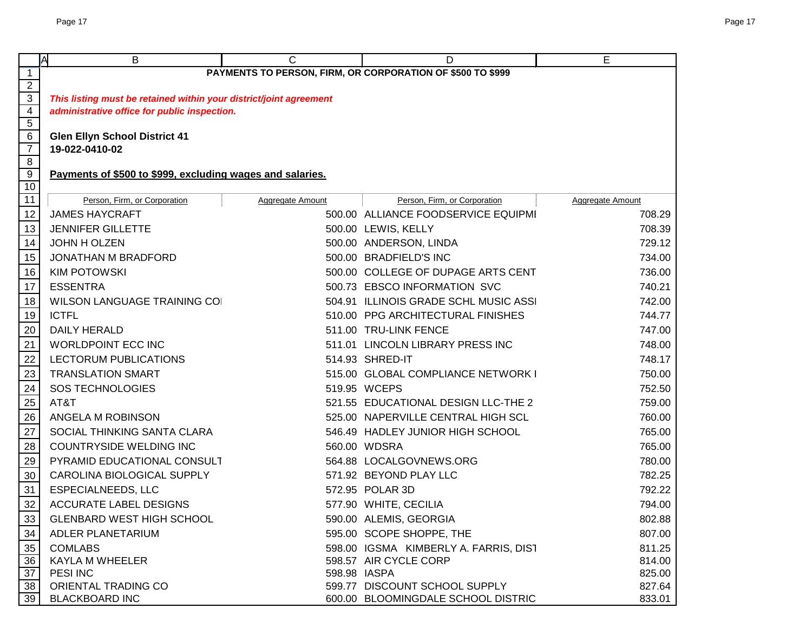|                     | <b>IA</b><br>В                                                     | $\mathsf{C}$     | D                                                          | Е                |
|---------------------|--------------------------------------------------------------------|------------------|------------------------------------------------------------|------------------|
| $\overline{1}$      |                                                                    |                  | PAYMENTS TO PERSON, FIRM, OR CORPORATION OF \$500 TO \$999 |                  |
| $\overline{2}$      |                                                                    |                  |                                                            |                  |
| $\overline{3}$      | This listing must be retained within your district/joint agreement |                  |                                                            |                  |
| $\overline{4}$      | administrative office for public inspection.                       |                  |                                                            |                  |
| $\overline{5}$      |                                                                    |                  |                                                            |                  |
| 6<br>$\overline{7}$ | <b>Glen Ellyn School District 41</b><br>19-022-0410-02             |                  |                                                            |                  |
| 8                   |                                                                    |                  |                                                            |                  |
| $\overline{9}$      | Payments of \$500 to \$999, excluding wages and salaries.          |                  |                                                            |                  |
| 10                  |                                                                    |                  |                                                            |                  |
| $\overline{11}$     | Person, Firm, or Corporation                                       | Aggregate Amount | Person, Firm, or Corporation                               | Aggregate Amount |
| 12                  | <b>JAMES HAYCRAFT</b>                                              |                  | 500.00 ALLIANCE FOODSERVICE EQUIPMI                        | 708.29           |
| 13                  | <b>JENNIFER GILLETTE</b>                                           |                  | 500.00 LEWIS, KELLY                                        | 708.39           |
| 14                  | JOHN H OLZEN                                                       |                  | 500.00 ANDERSON, LINDA                                     | 729.12           |
| 15                  | JONATHAN M BRADFORD                                                |                  | 500.00 BRADFIELD'S INC                                     | 734.00           |
| 16                  | <b>KIM POTOWSKI</b>                                                |                  | 500.00 COLLEGE OF DUPAGE ARTS CENT                         | 736.00           |
| $17$                | <b>ESSENTRA</b>                                                    |                  | 500.73 EBSCO INFORMATION SVC                               | 740.21           |
| 18                  | <b>WILSON LANGUAGE TRAINING CO</b>                                 |                  | 504.91 ILLINOIS GRADE SCHL MUSIC ASSI                      | 742.00           |
| 19                  | <b>ICTFL</b>                                                       |                  | 510.00 PPG ARCHITECTURAL FINISHES                          | 744.77           |
| 20                  | <b>DAILY HERALD</b>                                                |                  | 511.00 TRU-LINK FENCE                                      | 747.00           |
| 21                  | <b>WORLDPOINT ECC INC</b>                                          |                  | 511.01 LINCOLN LIBRARY PRESS INC                           | 748.00           |
| 22                  | LECTORUM PUBLICATIONS                                              |                  | 514.93 SHRED-IT                                            | 748.17           |
| $\overline{23}$     | <b>TRANSLATION SMART</b>                                           |                  | 515.00 GLOBAL COMPLIANCE NETWORK I                         | 750.00           |
| 24                  | <b>SOS TECHNOLOGIES</b>                                            |                  | 519.95 WCEPS                                               | 752.50           |
|                     | AT&T                                                               |                  | 521.55 EDUCATIONAL DESIGN LLC-THE 2                        | 759.00           |
| $\frac{25}{26}$     | ANGELA M ROBINSON                                                  |                  | 525.00 NAPERVILLE CENTRAL HIGH SCL                         | 760.00           |
| 27                  | SOCIAL THINKING SANTA CLARA                                        |                  | 546.49 HADLEY JUNIOR HIGH SCHOOL                           | 765.00           |
| 28                  | COUNTRYSIDE WELDING INC                                            |                  | 560.00 WDSRA                                               | 765.00           |
| 29                  | PYRAMID EDUCATIONAL CONSULT                                        |                  | 564.88 LOCALGOVNEWS.ORG                                    | 780.00           |
| 30                  | CAROLINA BIOLOGICAL SUPPLY                                         |                  | 571.92 BEYOND PLAY LLC                                     | 782.25           |
| 31                  | <b>ESPECIALNEEDS, LLC</b>                                          |                  | 572.95 POLAR 3D                                            | 792.22           |
| 32                  | ACCURATE LABEL DESIGNS                                             |                  | 577.90 WHITE, CECILIA                                      | 794.00           |
| 33 <sub>1</sub>     | <b>GLENBARD WEST HIGH SCHOOL</b>                                   |                  | 590.00 ALEMIS, GEORGIA                                     | 802.88           |
| 34                  | ADLER PLANETARIUM                                                  |                  | 595.00 SCOPE SHOPPE, THE                                   | 807.00           |
| 35                  | <b>COMLABS</b>                                                     |                  | 598.00 IGSMA KIMBERLY A. FARRIS, DIST                      | 811.25           |
| 36                  | KAYLA M WHEELER                                                    |                  | 598.57 AIR CYCLE CORP                                      | 814.00           |
| 37                  | PESI INC                                                           | 598.98 IASPA     |                                                            | 825.00           |
| 38                  | ORIENTAL TRADING CO                                                |                  | 599.77 DISCOUNT SCHOOL SUPPLY                              | 827.64           |
| 39                  | <b>BLACKBOARD INC</b>                                              |                  | 600.00 BLOOMINGDALE SCHOOL DISTRIC                         | 833.01           |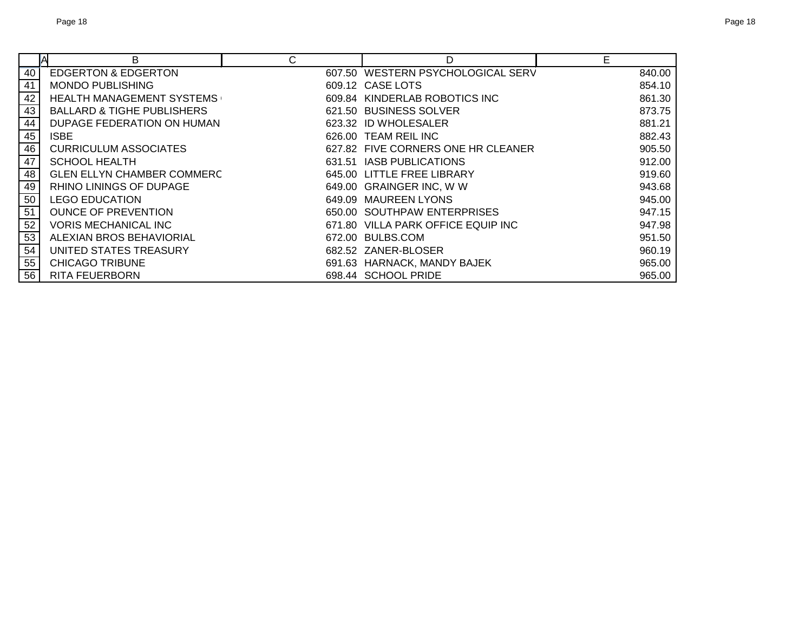|    | A<br>В                                | C | D                                  | Е      |
|----|---------------------------------------|---|------------------------------------|--------|
| 40 | <b>EDGERTON &amp; EDGERTON</b>        |   | 607.50 WESTERN PSYCHOLOGICAL SERV  | 840.00 |
| 41 | <b>MONDO PUBLISHING</b>               |   | 609.12 CASE LOTS                   | 854.10 |
| 42 | <b>HEALTH MANAGEMENT SYSTEMS</b>      |   | 609.84 KINDERLAB ROBOTICS INC      | 861.30 |
| 43 | <b>BALLARD &amp; TIGHE PUBLISHERS</b> |   | 621.50 BUSINESS SOLVER             | 873.75 |
| 44 | DUPAGE FEDERATION ON HUMAN            |   | 623.32 ID WHOLESALER               | 881.21 |
| 45 | <b>ISBE</b>                           |   | 626.00 TEAM REIL INC               | 882.43 |
| 46 | <b>CURRICULUM ASSOCIATES</b>          |   | 627.82 FIVE CORNERS ONE HR CLEANER | 905.50 |
| 47 | <b>SCHOOL HEALTH</b>                  |   | 631.51 IASB PUBLICATIONS           | 912.00 |
| 48 | <b>GLEN ELLYN CHAMBER COMMERC</b>     |   | 645.00 LITTLE FREE LIBRARY         | 919.60 |
| 49 | RHINO LININGS OF DUPAGE               |   | 649.00 GRAINGER INC, W W           | 943.68 |
| 50 | <b>LEGO EDUCATION</b>                 |   | 649.09 MAUREEN LYONS               | 945.00 |
| 51 | <b>OUNCE OF PREVENTION</b>            |   | 650.00 SOUTHPAW ENTERPRISES        | 947.15 |
| 52 | <b>VORIS MECHANICAL INC</b>           |   | 671.80 VILLA PARK OFFICE EQUIP INC | 947.98 |
| 53 | ALEXIAN BROS BEHAVIORIAL              |   | 672.00 BULBS.COM                   | 951.50 |
| 54 | UNITED STATES TREASURY                |   | 682.52 ZANER-BLOSER                | 960.19 |
| 55 | <b>CHICAGO TRIBUNE</b>                |   | 691.63 HARNACK, MANDY BAJEK        | 965.00 |
| 56 | <b>RITA FEUERBORN</b>                 |   | 698.44 SCHOOL PRIDE                | 965.00 |